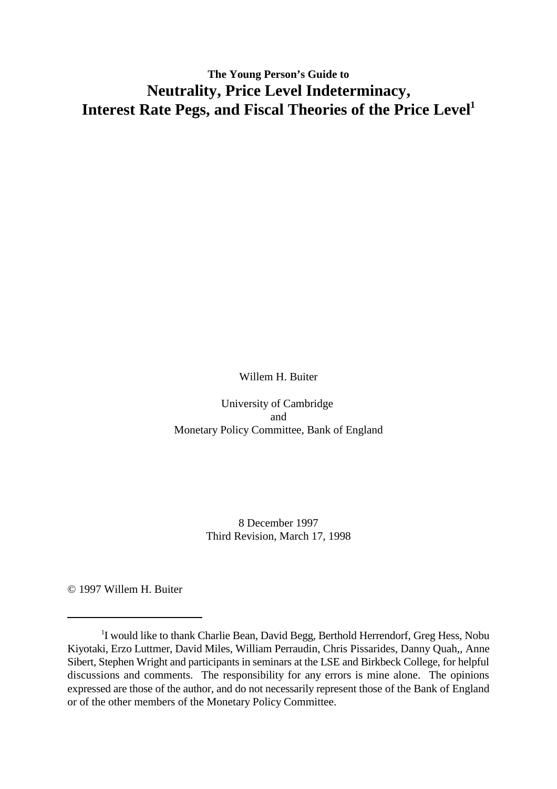## **The Young Person's Guide to Neutrality, Price Level Indeterminacy, Interest Rate Pegs, and Fiscal Theories of the Price Level1**

Willem H. Buiter

University of Cambridge and Monetary Policy Committee, Bank of England

> 8 December 1997 Third Revision, March 17, 1998

© 1997 Willem H. Buiter

 $1$ I would like to thank Charlie Bean, David Begg, Berthold Herrendorf, Greg Hess, Nobu Kiyotaki, Erzo Luttmer, David Miles, William Perraudin, Chris Pissarides, Danny Quah,, Anne Sibert, Stephen Wright and participants in seminars at the LSE and Birkbeck College, for helpful discussions and comments. The responsibility for any errors is mine alone. The opinions expressed are those of the author, and do not necessarily represent those of the Bank of England or of the other members of the Monetary Policy Committee.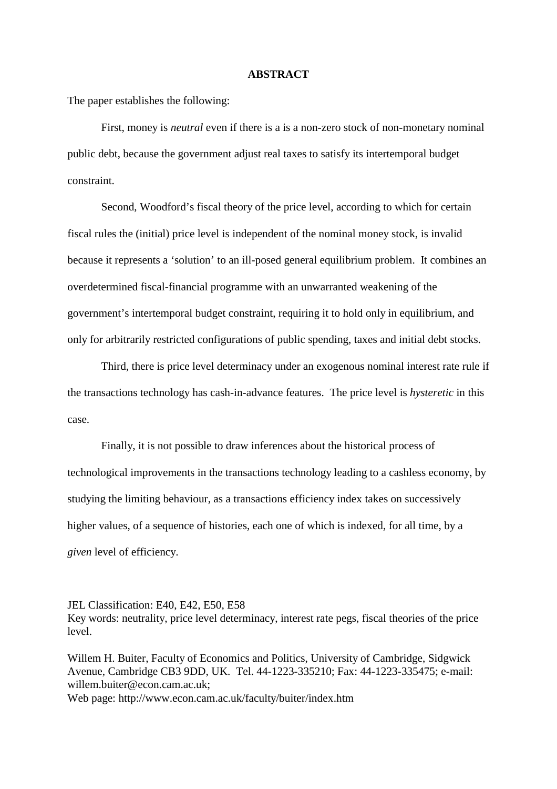#### **ABSTRACT**

The paper establishes the following:

First, money is *neutral* even if there is a is a non-zero stock of non-monetary nominal public debt, because the government adjust real taxes to satisfy its intertemporal budget constraint.

Second, Woodford's fiscal theory of the price level, according to which for certain fiscal rules the (initial) price level is independent of the nominal money stock, is invalid because it represents a 'solution' to an ill-posed general equilibrium problem. It combines an overdetermined fiscal-financial programme with an unwarranted weakening of the government's intertemporal budget constraint, requiring it to hold only in equilibrium, and only for arbitrarily restricted configurations of public spending, taxes and initial debt stocks.

Third, there is price level determinacy under an exogenous nominal interest rate rule if the transactions technology has cash-in-advance features. The price level is *hysteretic* in this case.

Finally, it is not possible to draw inferences about the historical process of technological improvements in the transactions technology leading to a cashless economy, by studying the limiting behaviour, as a transactions efficiency index takes on successively higher values, of a sequence of histories, each one of which is indexed, for all time, by a *given* level of efficiency.

JEL Classification: E40, E42, E50, E58

Key words: neutrality, price level determinacy, interest rate pegs, fiscal theories of the price level.

Willem H. Buiter, Faculty of Economics and Politics, University of Cambridge, Sidgwick Avenue, Cambridge CB3 9DD, UK. Tel. 44-1223-335210; Fax: 44-1223-335475; e-mail: willem.buiter@econ.cam.ac.uk;

Web page: http://www.econ.cam.ac.uk/faculty/buiter/index.htm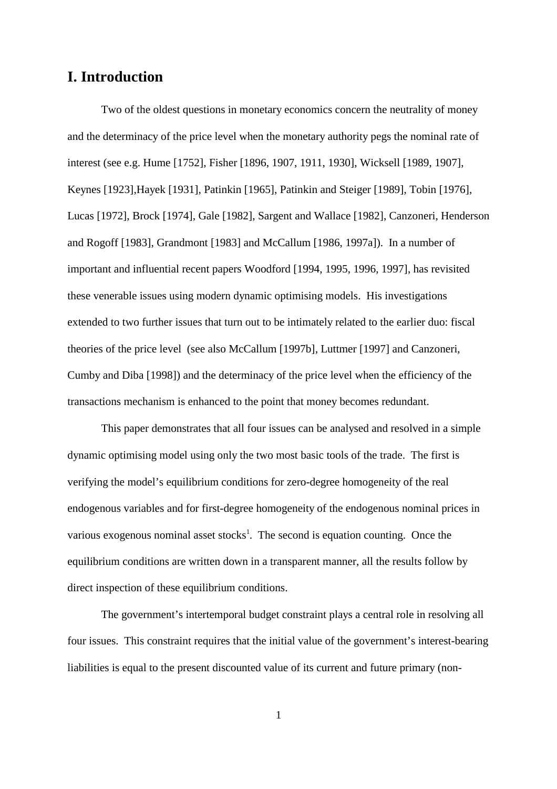## **I. Introduction**

Two of the oldest questions in monetary economics concern the neutrality of money and the determinacy of the price level when the monetary authority pegs the nominal rate of interest (see e.g. Hume [1752], Fisher [1896, 1907, 1911, 1930], Wicksell [1989, 1907], Keynes [1923],Hayek [1931], Patinkin [1965], Patinkin and Steiger [1989], Tobin [1976], Lucas [1972], Brock [1974], Gale [1982], Sargent and Wallace [1982], Canzoneri, Henderson and Rogoff [1983], Grandmont [1983] and McCallum [1986, 1997a]). In a number of important and influential recent papers Woodford [1994, 1995, 1996, 1997], has revisited these venerable issues using modern dynamic optimising models. His investigations extended to two further issues that turn out to be intimately related to the earlier duo: fiscal theories of the price level (see also McCallum [1997b], Luttmer [1997] and Canzoneri, Cumby and Diba [1998]) and the determinacy of the price level when the efficiency of the transactions mechanism is enhanced to the point that money becomes redundant.

This paper demonstrates that all four issues can be analysed and resolved in a simple dynamic optimising model using only the two most basic tools of the trade. The first is verifying the model's equilibrium conditions for zero-degree homogeneity of the real endogenous variables and for first-degree homogeneity of the endogenous nominal prices in various exogenous nominal asset stocks<sup>1</sup>. The second is equation counting. Once the equilibrium conditions are written down in a transparent manner, all the results follow by direct inspection of these equilibrium conditions.

The government's intertemporal budget constraint plays a central role in resolving all four issues. This constraint requires that the initial value of the government's interest-bearing liabilities is equal to the present discounted value of its current and future primary (non-

1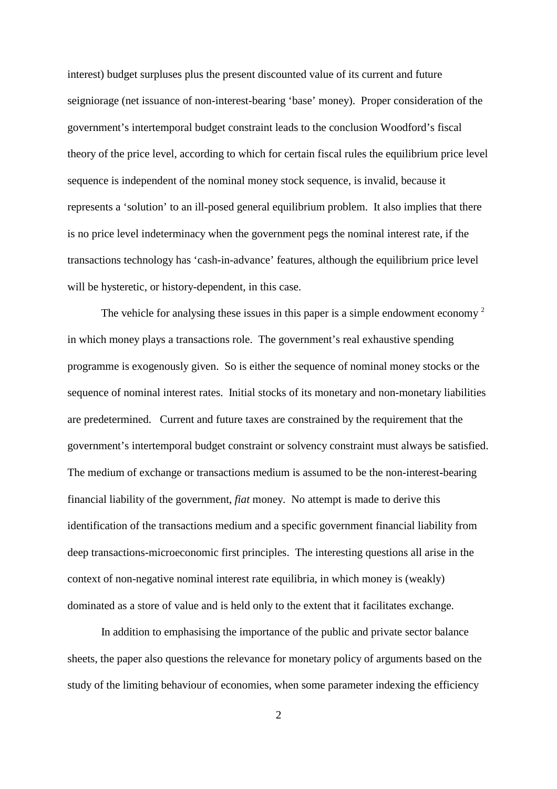interest) budget surpluses plus the present discounted value of its current and future seigniorage (net issuance of non-interest-bearing 'base' money). Proper consideration of the government's intertemporal budget constraint leads to the conclusion Woodford's fiscal theory of the price level, according to which for certain fiscal rules the equilibrium price level sequence is independent of the nominal money stock sequence, is invalid, because it represents a 'solution' to an ill-posed general equilibrium problem. It also implies that there is no price level indeterminacy when the government pegs the nominal interest rate, if the transactions technology has 'cash-in-advance' features, although the equilibrium price level will be hysteretic, or history-dependent, in this case.

The vehicle for analysing these issues in this paper is a simple endowment economy <sup>2</sup> in which money plays a transactions role. The government's real exhaustive spending programme is exogenously given. So is either the sequence of nominal money stocks or the sequence of nominal interest rates. Initial stocks of its monetary and non-monetary liabilities are predetermined. Current and future taxes are constrained by the requirement that the government's intertemporal budget constraint or solvency constraint must always be satisfied. The medium of exchange or transactions medium is assumed to be the non-interest**-**bearing financial liability of the government, *fiat* money. No attempt is made to derive this identification of the transactions medium and a specific government financial liability from deep transactions-microeconomic first principles. The interesting questions all arise in the context of non-negative nominal interest rate equilibria, in which money is (weakly) dominated as a store of value and is held only to the extent that it facilitates exchange.

In addition to emphasising the importance of the public and private sector balance sheets, the paper also questions the relevance for monetary policy of arguments based on the study of the limiting behaviour of economies, when some parameter indexing the efficiency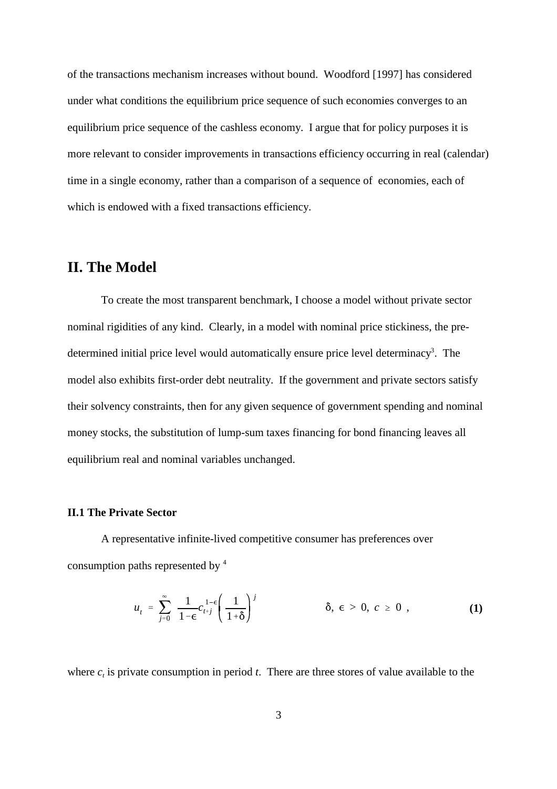of the transactions mechanism increases without bound. Woodford [1997] has considered under what conditions the equilibrium price sequence of such economies converges to an equilibrium price sequence of the cashless economy. I argue that for policy purposes it is more relevant to consider improvements in transactions efficiency occurring in real (calendar) time in a single economy, rather than a comparison of a sequence of economies, each of which is endowed with a fixed transactions efficiency.

## **II. The Model**

To create the most transparent benchmark, I choose a model without private sector nominal rigidities of any kind. Clearly, in a model with nominal price stickiness, the predetermined initial price level would automatically ensure price level determinacy<sup>3</sup>. The model also exhibits first-order debt neutrality. If the government and private sectors satisfy their solvency constraints, then for any given sequence of government spending and nominal money stocks, the substitution of lump-sum taxes financing for bond financing leaves all equilibrium real and nominal variables unchanged.

#### **II.1 The Private Sector**

A representative infinite-lived competitive consumer has preferences over consumption paths represented by 4

$$
u_{t} = \sum_{j=0}^{\infty} \frac{1}{1 - \epsilon} c_{t+j}^{1-\epsilon} \left( \frac{1}{1 + \delta} \right)^{j} \qquad \delta, \epsilon > 0, c \ge 0,
$$
 (1)

where  $c<sub>t</sub>$  is private consumption in period  $t$ . There are three stores of value available to the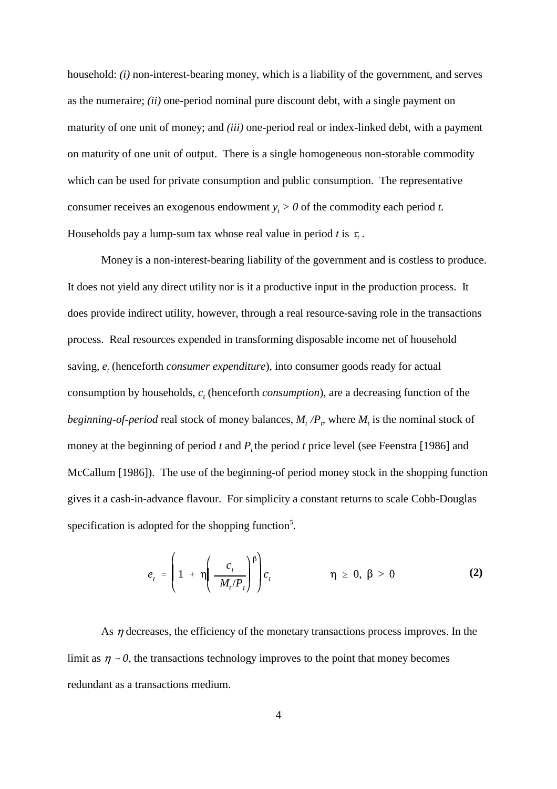household: *(i)* non-interest-bearing money, which is a liability of the government, and serves as the numeraire; *(ii)* one-period nominal pure discount debt, with a single payment on maturity of one unit of money; and *(iii)* one-period real or index-linked debt, with a payment on maturity of one unit of output. There is a single homogeneous non-storable commodity which can be used for private consumption and public consumption. The representative consumer receives an exogenous endowment  $y_t > 0$  of the commodity each period *t*. Households pay a lump-sum tax whose real value in period *t* is  $\tau$ .

Money is a non-interest-bearing liability of the government and is costless to produce. It does not yield any direct utility nor is it a productive input in the production process. It does provide indirect utility, however, through a real resource-saving role in the transactions process. Real resources expended in transforming disposable income net of household saving,  $e$ , (henceforth *consumer expenditure*), into consumer goods ready for actual consumption by households,  $c_t$  (henceforth *consumption*), are a decreasing function of the *beginning-of-period* real stock of money balances,  $M_t/P_p$ , where  $M_t$  is the nominal stock of money at the beginning of period  $t$  and  $P$ , the period  $t$  price level (see Feenstra [1986] and McCallum [1986]). The use of the beginning-of period money stock in the shopping function gives it a cash-in-advance flavour. For simplicity a constant returns to scale Cobb-Douglas specification is adopted for the shopping function<sup>5</sup>.

$$
e_{t} = \left(1 + \eta \left(\frac{c_{t}}{M_{t}/P_{t}}\right)^{\beta}\right) c_{t} \qquad \eta \geq 0, \beta > 0 \qquad (2)
$$

As  $\eta$  decreases, the efficiency of the monetary transactions process improves. In the limit as  $\eta \rightarrow 0$ , the transactions technology improves to the point that money becomes redundant as a transactions medium.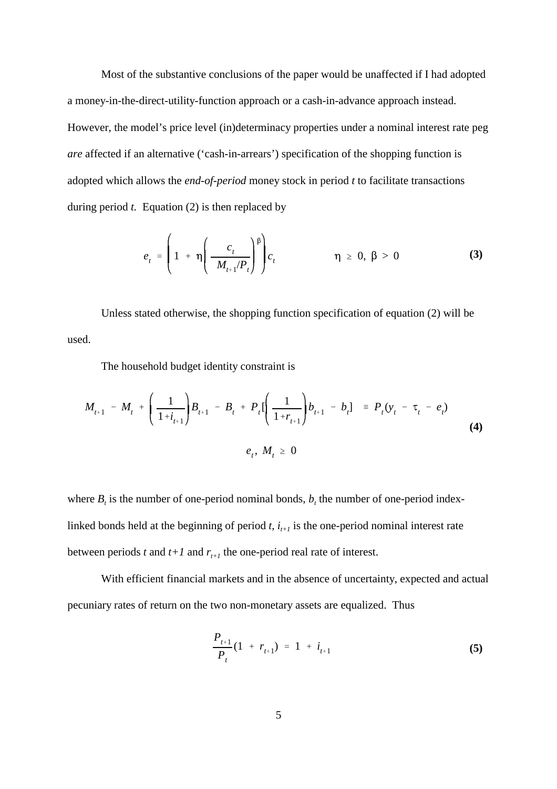Most of the substantive conclusions of the paper would be unaffected if I had adopted a money-in-the-direct-utility-function approach or a cash-in-advance approach instead. However, the model's price level (in)determinacy properties under a nominal interest rate peg *are* affected if an alternative ('cash-in-arrears') specification of the shopping function is adopted which allows the *end-of-period* money stock in period *t* to facilitate transactions during period *t.* Equation (2) is then replaced by

$$
e_{t} = \left(1 + \eta \left(\frac{c_{t}}{M_{t+1}/P_{t}}\right)^{\beta}\right) c_{t} \qquad \eta \geq 0, \beta > 0 \qquad (3)
$$

Unless stated otherwise, the shopping function specification of equation (2) will be used.

The household budget identity constraint is

$$
M_{t+1} - M_t + \left(\frac{1}{1+i_{t+1}}\right)B_{t+1} - B_t + P_t\left[\left(\frac{1}{1+r_{t+1}}\right)b_{t+1} - b_t\right] = P_t(y_t - \tau_t - e_t)
$$
  
(4)  

$$
e_t, M_t \ge 0
$$

where  $B_t$  is the number of one-period nominal bonds,  $b_t$  the number of one-period indexlinked bonds held at the beginning of period  $t$ ,  $i_{t+1}$  is the one-period nominal interest rate between periods *t* and  $t+1$  and  $r_{t+1}$  the one-period real rate of interest.

With efficient financial markets and in the absence of uncertainty, expected and actual pecuniary rates of return on the two non-monetary assets are equalized. Thus

$$
\frac{P_{t+1}}{P_t}(1 + r_{t+1}) = 1 + i_{t+1}
$$
\n(5)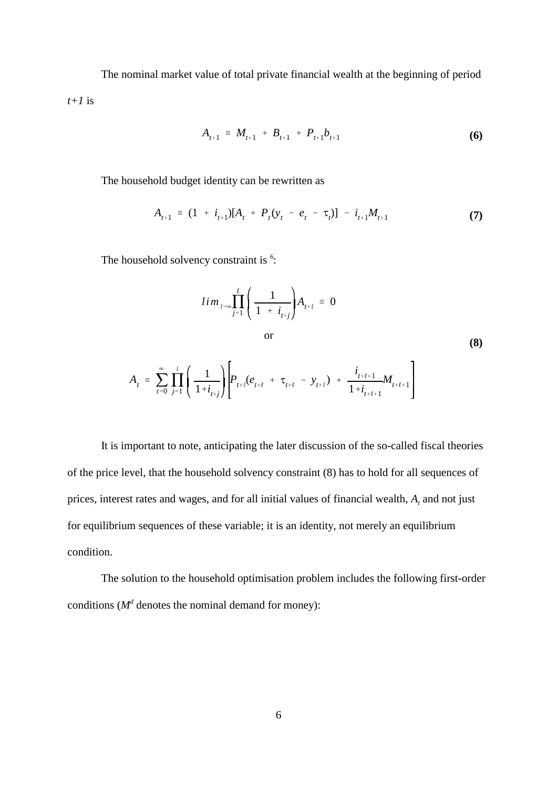The nominal market value of total private financial wealth at the beginning of period *t+1* is

$$
A_{t+1} = M_{t+1} + B_{t+1} + P_{t+1}b_{t+1}
$$
 (6)

The household budget identity can be rewritten as

$$
A_{t+1} = (1 + i_{t+1})[A_t + P_t(y_t - e_t - \tau_t)] - i_{t+1}M_{t+1}
$$
\n(7)

The household solvency constraint is  $6$ :

$$
lim_{\ell \to \infty} \prod_{j=1}^{\ell} \left( \frac{1}{1 + i_{t+j}} \right) A_{t+\ell} = 0
$$
  
or  

$$
A_{t} = \sum_{\ell=0}^{\infty} \prod_{j=1}^{\ell} \left( \frac{1}{1 + i_{t+j}} \right) \left[ P_{t+\ell} (e_{t+\ell} + \tau_{t+\ell} - y_{t+\ell}) + \frac{i_{t+\ell+1}}{1 + i_{t+\ell+1}} M_{t+\ell+1} \right]
$$
(8)

It is important to note, anticipating the later discussion of the so-called fiscal theories of the price level, that the household solvency constraint (8) has to hold for all sequences of prices, interest rates and wages, and for all initial values of financial wealth, *A*, and not just for equilibrium sequences of these variable; it is an identity, not merely an equilibrium condition.

The solution to the household optimisation problem includes the following first-order conditions ( $M<sup>d</sup>$  denotes the nominal demand for money):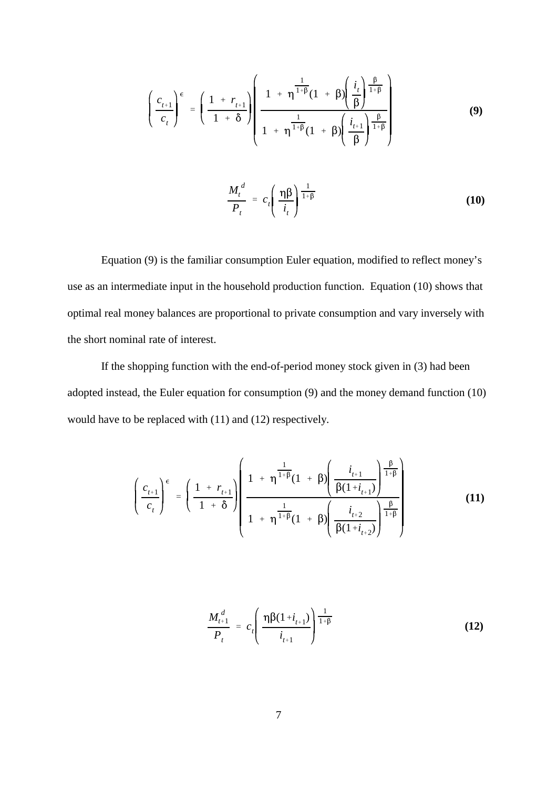$$
\left(\frac{c_{t+1}}{c_t}\right)^{\epsilon} = \left(\frac{1 + r_{t+1}}{1 + \delta}\right) \left(\frac{1 + \eta^{\frac{1}{1 + \beta}}(1 + \beta) \left(\frac{i_t}{\beta}\right)^{\frac{\beta}{1 + \beta}}}{1 + \eta^{\frac{1}{1 + \beta}}(1 + \beta) \left(\frac{i_{t+1}}{\beta}\right)^{\frac{\beta}{1 + \beta}}}\right)
$$
(9)

$$
\frac{M_t^d}{P_t} = c_t \left( \frac{\eta \beta}{i_t} \right)^{\frac{1}{1+\beta}}
$$
\n(10)

Equation (9) is the familiar consumption Euler equation, modified to reflect money's use as an intermediate input in the household production function. Equation (10) shows that optimal real money balances are proportional to private consumption and vary inversely with the short nominal rate of interest.

If the shopping function with the end-of-period money stock given in (3) had been adopted instead, the Euler equation for consumption (9) and the money demand function (10) would have to be replaced with (11) and (12) respectively.

$$
\left(\frac{c_{t+1}}{c_{t}}\right)^{\epsilon} = \left(\frac{1 + r_{t+1}}{1 + \delta}\right) \left(\frac{1 + \eta^{\frac{1}{1 + \beta}}(1 + \beta) \left(\frac{i_{t+1}}{\beta(1 + i_{t+1})}\right)^{\frac{\beta}{1 + \beta}}}{1 + \eta^{\frac{1}{1 + \beta}}(1 + \beta) \left(\frac{i_{t+2}}{\beta(1 + i_{t+2})}\right)^{\frac{\beta}{1 + \beta}}}\right)
$$
(11)

$$
\frac{M_{t+1}^d}{P_t} = c_t \left( \frac{\eta \beta (1 + i_{t+1})}{i_{t+1}} \right)^{\frac{1}{1+\beta}}
$$
(12)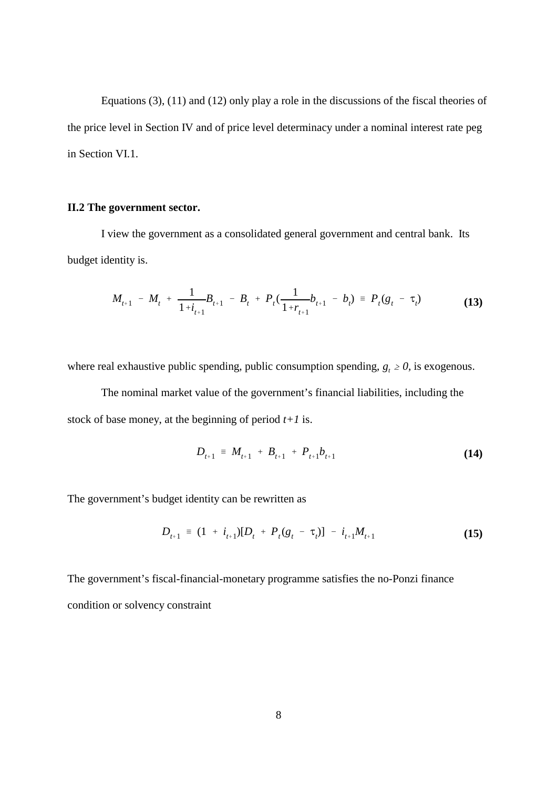Equations (3), (11) and (12) only play a role in the discussions of the fiscal theories of the price level in Section IV and of price level determinacy under a nominal interest rate peg in Section VI.1.

#### **II.2 The government sector.**

I view the government as a consolidated general government and central bank. Its budget identity is.

$$
M_{t+1} - M_t + \frac{1}{1 + i_{t+1}} B_{t+1} - B_t + P_t(\frac{1}{1 + r_{t+1}} b_{t+1} - b_t) = P_t(g_t - \tau_t)
$$
(13)

where real exhaustive public spending, public consumption spending,  $g_t \ge 0$ , is exogenous.

The nominal market value of the government's financial liabilities, including the stock of base money, at the beginning of period *t+1* is.

$$
D_{t+1} = M_{t+1} + B_{t+1} + P_{t+1}b_{t+1}
$$
 (14)

The government's budget identity can be rewritten as

$$
D_{t+1} = (1 + i_{t+1})[D_t + P_t(g_t - \tau_t)] - i_{t+1}M_{t+1}
$$
\n(15)

The government's fiscal-financial-monetary programme satisfies the no-Ponzi finance condition or solvency constraint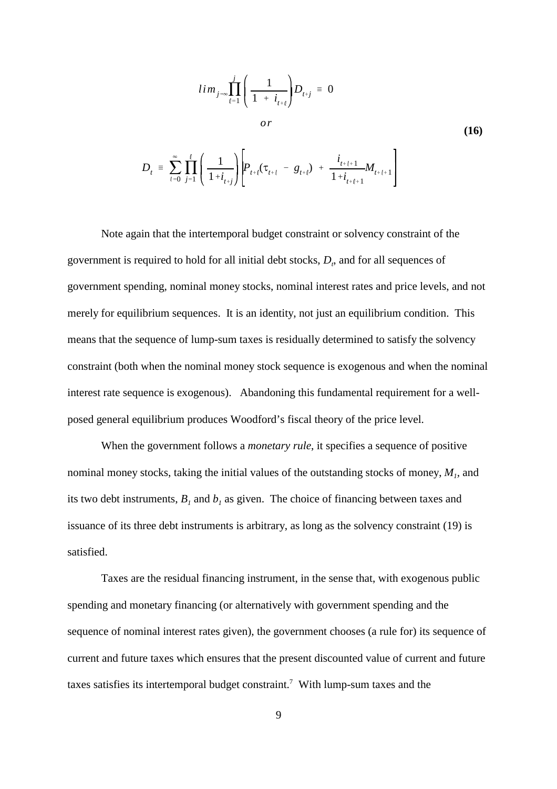$$
lim_{j\to\infty} \prod_{\ell=1}^{j} \left( \frac{1}{1 + i_{t+\ell}} \right) D_{t+j} = 0
$$
  
or  

$$
D_{t} = \sum_{\ell=0}^{\infty} \prod_{j=1}^{\ell} \left( \frac{1}{1 + i_{t+j}} \right) \left[ P_{t+\ell} (\tau_{t+\ell} - g_{t+\ell}) + \frac{i_{t+\ell+1}}{1 + i_{t+\ell+1}} M_{t+\ell+1} \right]
$$
(16)

Note again that the intertemporal budget constraint or solvency constraint of the government is required to hold for all initial debt stocks, *D*, and for all sequences of government spending, nominal money stocks, nominal interest rates and price levels, and not merely for equilibrium sequences. It is an identity, not just an equilibrium condition. This means that the sequence of lump-sum taxes is residually determined to satisfy the solvency constraint (both when the nominal money stock sequence is exogenous and when the nominal interest rate sequence is exogenous). Abandoning this fundamental requirement for a wellposed general equilibrium produces Woodford's fiscal theory of the price level.

When the government follows a *monetary rule*, it specifies a sequence of positive nominal money stocks, taking the initial values of the outstanding stocks of money,  $M<sub>b</sub>$ , and its two debt instruments,  $B_1$  and  $b_1$  as given. The choice of financing between taxes and issuance of its three debt instruments is arbitrary, as long as the solvency constraint (19) is satisfied.

Taxes are the residual financing instrument, in the sense that, with exogenous public spending and monetary financing (or alternatively with government spending and the sequence of nominal interest rates given), the government chooses (a rule for) its sequence of current and future taxes which ensures that the present discounted value of current and future taxes satisfies its intertemporal budget constraint.<sup>7</sup> With lump-sum taxes and the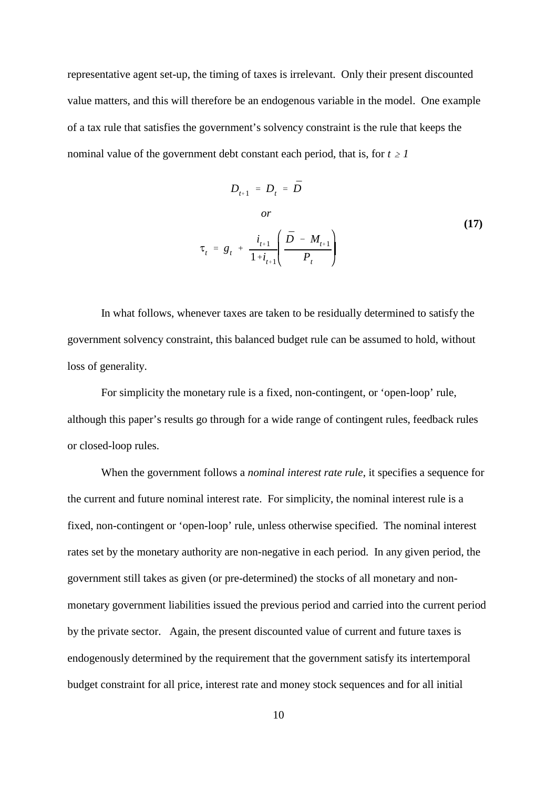representative agent set-up, the timing of taxes is irrelevant. Only their present discounted value matters, and this will therefore be an endogenous variable in the model. One example of a tax rule that satisfies the government's solvency constraint is the rule that keeps the nominal value of the government debt constant each period, that is, for  $t \geq 1$ 

$$
D_{t+1} = D_t = \bar{D}
$$
  
\nor  
\n
$$
\tau_t = g_t + \frac{i_{t+1}}{1 + i_{t+1}} \left( \frac{\bar{D} - M_{t+1}}{P_t} \right)
$$
\n(17)

In what follows, whenever taxes are taken to be residually determined to satisfy the government solvency constraint, this balanced budget rule can be assumed to hold, without loss of generality.

For simplicity the monetary rule is a fixed, non-contingent, or 'open-loop' rule, although this paper's results go through for a wide range of contingent rules, feedback rules or closed-loop rules.

When the government follows a *nominal interest rate rule*, it specifies a sequence for the current and future nominal interest rate. For simplicity, the nominal interest rule is a fixed, non-contingent or 'open-loop' rule, unless otherwise specified. The nominal interest rates set by the monetary authority are non-negative in each period. In any given period, the government still takes as given (or pre-determined) the stocks of all monetary and nonmonetary government liabilities issued the previous period and carried into the current period by the private sector. Again, the present discounted value of current and future taxes is endogenously determined by the requirement that the government satisfy its intertemporal budget constraint for all price, interest rate and money stock sequences and for all initial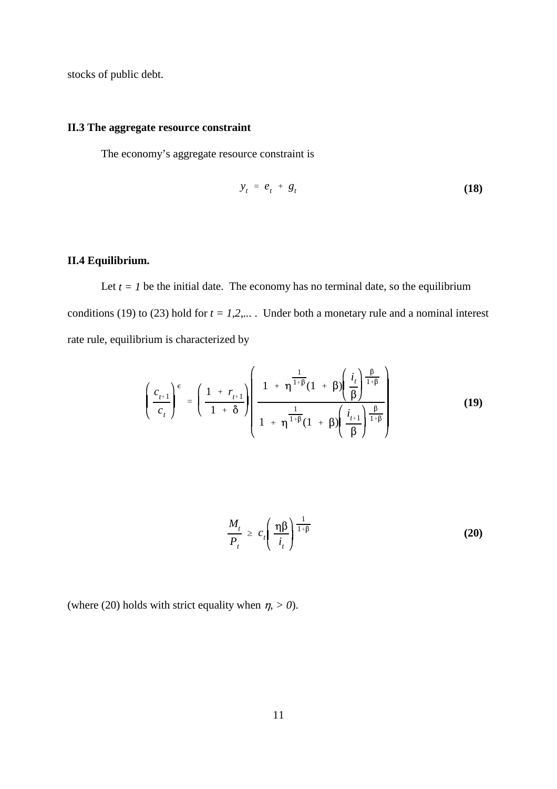stocks of public debt.

#### **II.3 The aggregate resource constraint**

The economy's aggregate resource constraint is

$$
y_t = e_t + g_t \tag{18}
$$

#### **II.4 Equilibrium.**

Let  $t = 1$  be the initial date. The economy has no terminal date, so the equilibrium conditions (19) to (23) hold for  $t = 1,2,...$ . Under both a monetary rule and a nominal interest rate rule, equilibrium is characterized by

$$
\left(\frac{c_{t+1}}{c_t}\right)^{\epsilon} = \left(\frac{1 + r_{t+1}}{1 + \delta}\right) \left(\frac{1 + \eta^{\frac{1}{1 + \beta}}(1 + \beta) \left(\frac{i_t}{\beta}\right)^{\frac{\beta}{1 + \beta}}}{1 + \eta^{\frac{1}{1 + \beta}}(1 + \beta) \left(\frac{i_{t+1}}{\beta}\right)^{\frac{\beta}{1 + \beta}}}\right)
$$
(19)

$$
\frac{M_t}{P_t} \geq c_t \left( \frac{\eta \beta}{i_t} \right)^{\frac{1}{1+\beta}}
$$
\n(20)

(where (20) holds with strict equality when  $\eta$ , > 0).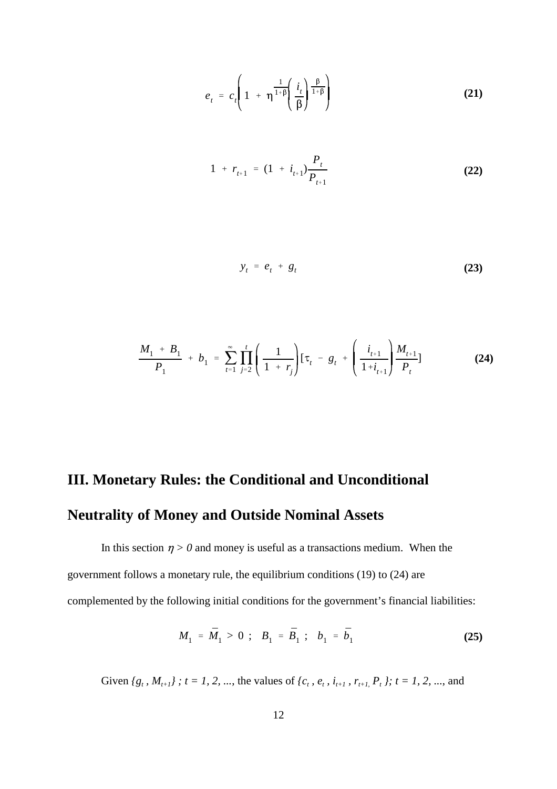$$
e_{t} = c_{t} \left( 1 + \eta^{\frac{1}{1+\beta}} \left( \frac{i_{t}}{\beta} \right)^{\frac{\beta}{1+\beta}} \right)
$$
 (21)

$$
1 + r_{t+1} = (1 + i_{t+1}) \frac{P_t}{P_{t+1}}
$$
 (22)

$$
y_t = e_t + g_t \tag{23}
$$

$$
\frac{M_1 + B_1}{P_1} + b_1 = \sum_{t=1}^{\infty} \prod_{j=2}^{t} \left( \frac{1}{1 + r_j} \right) [\tau_t - g_t + \left( \frac{i_{t+1}}{1 + i_{t+1}} \right) \frac{M_{t+1}}{P_t}]
$$
(24)

# **III. Monetary Rules: the Conditional and Unconditional Neutrality of Money and Outside Nominal Assets**

In this section  $\eta > 0$  and money is useful as a transactions medium. When the government follows a monetary rule, the equilibrium conditions (19) to (24) are complemented by the following initial conditions for the government's financial liabilities:

$$
M_1 = \bar{M}_1 > 0 \; ; \; B_1 = \bar{B}_1 \; ; \; b_1 = \bar{b}_1 \tag{25}
$$

Given  ${g_t, M_{t+1}}$ ;  $t = 1, 2, ...,$  the values of  ${c_t, e_t, i_{t+1}, r_{t+1}, P_t}$ ;  $t = 1, 2, ...,$  and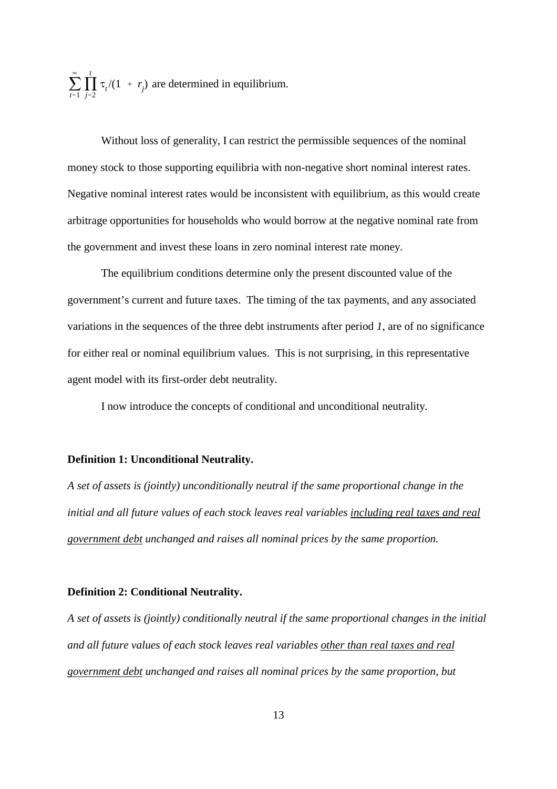$\sum$  $\infty$  $\sum_{t=1}$ N *t*  $\prod_{j=2}$   $\tau_i/(1 + r_j)$  are determined in equilibrium.

Without loss of generality, I can restrict the permissible sequences of the nominal money stock to those supporting equilibria with non-negative short nominal interest rates. Negative nominal interest rates would be inconsistent with equilibrium, as this would create arbitrage opportunities for households who would borrow at the negative nominal rate from the government and invest these loans in zero nominal interest rate money.

The equilibrium conditions determine only the present discounted value of the government's current and future taxes. The timing of the tax payments, and any associated variations in the sequences of the three debt instruments after period *1*, are of no significance for either real or nominal equilibrium values. This is not surprising, in this representative agent model with its first-order debt neutrality.

I now introduce the concepts of conditional and unconditional neutrality.

#### **Definition 1: Unconditional Neutrality.**

*A set of assets is (jointly) unconditionally neutral if the same proportional change in the initial and all future values of each stock leaves real variables including real taxes and real government debt unchanged and raises all nominal prices by the same proportion.*

#### **Definition 2: Conditional Neutrality.**

*A set of assets is (jointly) conditionally neutral if the same proportional changes in the initial and all future values of each stock leaves real variables other than real taxes and real government debt unchanged and raises all nominal prices by the same proportion, but*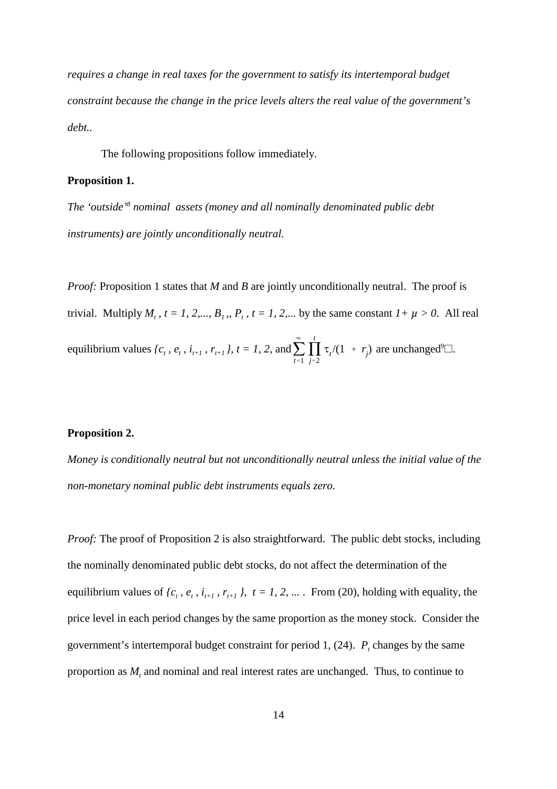*requires a change in real taxes for the government to satisfy its intertemporal budget constraint because the change in the price levels alters the real value of the government's debt..*

The following propositions follow immediately.

#### **Proposition 1.**

*The 'outside'<sup>8</sup> nominal assets (money and all nominally denominated public debt instruments) are jointly unconditionally neutral.* 

 $\sum$  $\infty$  $\sum_{t=1}$ N *t* equilibrium values  $\{c_t, e_t, i_{t+1}, r_{t+1}\}\$ ,  $t = 1, 2$ , and  $\sum_{t=1} \prod_{j=2} \tau_i/(1 + r_j)$  are unchanged<sup>9</sup> $\Box$ . *Proof:* Proposition 1 states that *M* and *B* are jointly unconditionally neutral. The proof is trivial. Multiply  $M_t$ ,  $t = 1, 2,..., B_t$ ,  $P_t$ ,  $t = 1, 2,...$  by the same constant  $1 + \mu > 0$ . All real

#### **Proposition 2.**

*Money is conditionally neutral but not unconditionally neutral unless the initial value of the non-monetary nominal public debt instruments equals zero.*

*Proof:* The proof of Proposition 2 is also straightforward. The public debt stocks, including the nominally denominated public debt stocks, do not affect the determination of the equilibrium values of  $\{c_t, e_t, i_{t+1}, r_{t+1}\}\$ ,  $t = 1, 2, ...$  *From (20), holding with equality, the* price level in each period changes by the same proportion as the money stock. Consider the government's intertemporal budget constraint for period 1,  $(24)$ .  $P_t$  changes by the same proportion as  $M$ , and nominal and real interest rates are unchanged. Thus, to continue to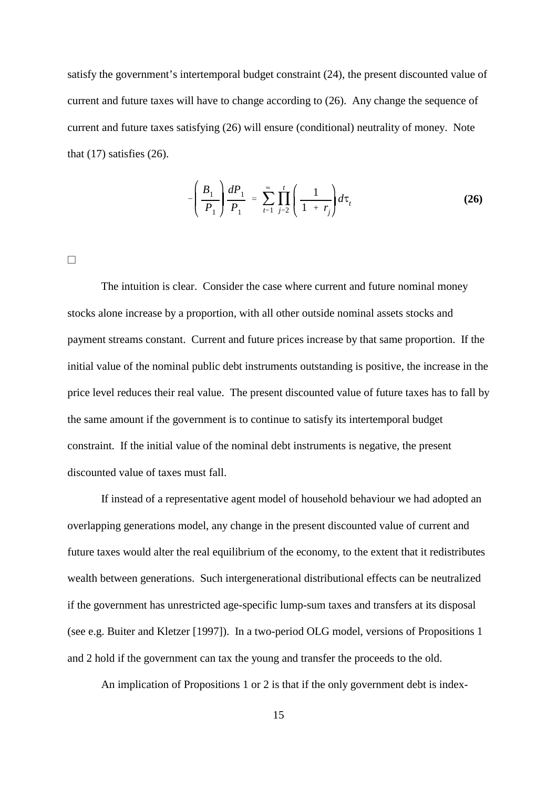satisfy the government's intertemporal budget constraint (24), the present discounted value of current and future taxes will have to change according to (26). Any change the sequence of current and future taxes satisfying (26) will ensure (conditional) neutrality of money. Note that  $(17)$  satisfies  $(26)$ .

$$
-\left(\frac{B_1}{P_1}\right)\frac{dP_1}{P_1} = \sum_{t=1}^{\infty} \prod_{j=2}^{t} \left(\frac{1}{1+r_j}\right) d\tau_t
$$
 (26)

a

The intuition is clear. Consider the case where current and future nominal money stocks alone increase by a proportion*,* with all other outside nominal assets stocks and payment streams constant. Current and future prices increase by that same proportion. If the initial value of the nominal public debt instruments outstanding is positive, the increase in the price level reduces their real value. The present discounted value of future taxes has to fall by the same amount if the government is to continue to satisfy its intertemporal budget constraint. If the initial value of the nominal debt instruments is negative, the present discounted value of taxes must fall.

If instead of a representative agent model of household behaviour we had adopted an overlapping generations model, any change in the present discounted value of current and future taxes would alter the real equilibrium of the economy, to the extent that it redistributes wealth between generations. Such intergenerational distributional effects can be neutralized if the government has unrestricted age-specific lump-sum taxes and transfers at its disposal (see e.g. Buiter and Kletzer [1997]). In a two-period OLG model, versions of Propositions 1 and 2 hold if the government can tax the young and transfer the proceeds to the old.

An implication of Propositions 1 or 2 is that if the only government debt is index-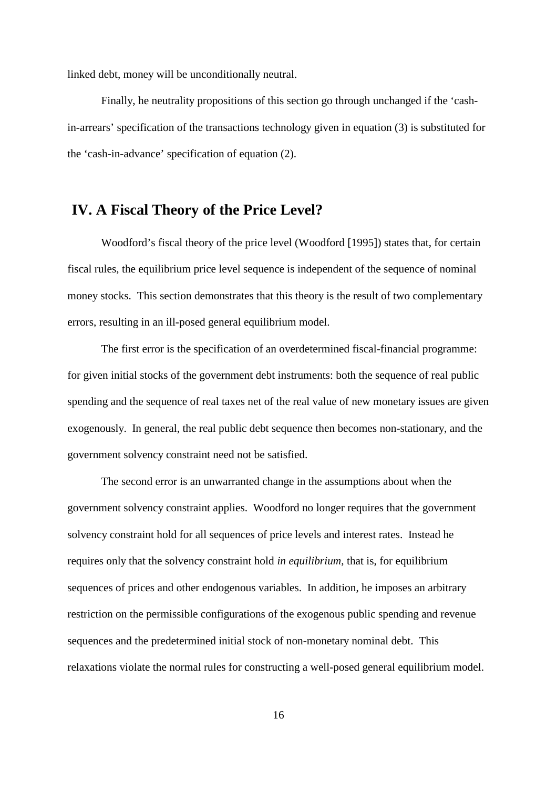linked debt, money will be unconditionally neutral.

Finally, he neutrality propositions of this section go through unchanged if the 'cashin-arrears' specification of the transactions technology given in equation (3) is substituted for the 'cash-in-advance' specification of equation (2).

## **IV. A Fiscal Theory of the Price Level?**

Woodford's fiscal theory of the price level (Woodford [1995]) states that, for certain fiscal rules, the equilibrium price level sequence is independent of the sequence of nominal money stocks. This section demonstrates that this theory is the result of two complementary errors, resulting in an ill-posed general equilibrium model.

The first error is the specification of an overdetermined fiscal-financial programme: for given initial stocks of the government debt instruments: both the sequence of real public spending and the sequence of real taxes net of the real value of new monetary issues are given exogenously. In general, the real public debt sequence then becomes non-stationary, and the government solvency constraint need not be satisfied.

The second error is an unwarranted change in the assumptions about when the government solvency constraint applies. Woodford no longer requires that the government solvency constraint hold for all sequences of price levels and interest rates. Instead he requires only that the solvency constraint hold *in equilibrium*, that is, for equilibrium sequences of prices and other endogenous variables. In addition, he imposes an arbitrary restriction on the permissible configurations of the exogenous public spending and revenue sequences and the predetermined initial stock of non-monetary nominal debt. This relaxations violate the normal rules for constructing a well-posed general equilibrium model.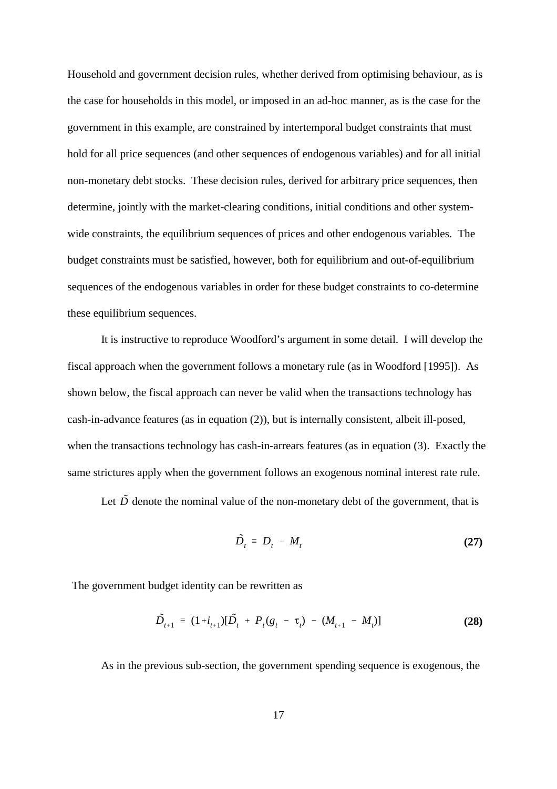Household and government decision rules, whether derived from optimising behaviour, as is the case for households in this model, or imposed in an ad-hoc manner, as is the case for the government in this example, are constrained by intertemporal budget constraints that must hold for all price sequences (and other sequences of endogenous variables) and for all initial non-monetary debt stocks. These decision rules, derived for arbitrary price sequences, then determine, jointly with the market-clearing conditions, initial conditions and other systemwide constraints, the equilibrium sequences of prices and other endogenous variables. The budget constraints must be satisfied, however, both for equilibrium and out-of-equilibrium sequences of the endogenous variables in order for these budget constraints to co-determine these equilibrium sequences.

It is instructive to reproduce Woodford's argument in some detail. I will develop the fiscal approach when the government follows a monetary rule (as in Woodford [1995]). As shown below, the fiscal approach can never be valid when the transactions technology has cash-in-advance features (as in equation (2)), but is internally consistent, albeit ill-posed, when the transactions technology has cash-in-arrears features (as in equation (3). Exactly the same strictures apply when the government follows an exogenous nominal interest rate rule.

Let  $\tilde{D}$  denote the nominal value of the non-monetary debt of the government, that is

$$
\tilde{D}_t = D_t - M_t \tag{27}
$$

The government budget identity can be rewritten as

$$
\tilde{D}_{t+1} = (1+i_{t+1})[\tilde{D}_t + P_t(g_t - \tau_t) - (M_{t+1} - M_t)]
$$
\n(28)

As in the previous sub-section, the government spending sequence is exogenous, the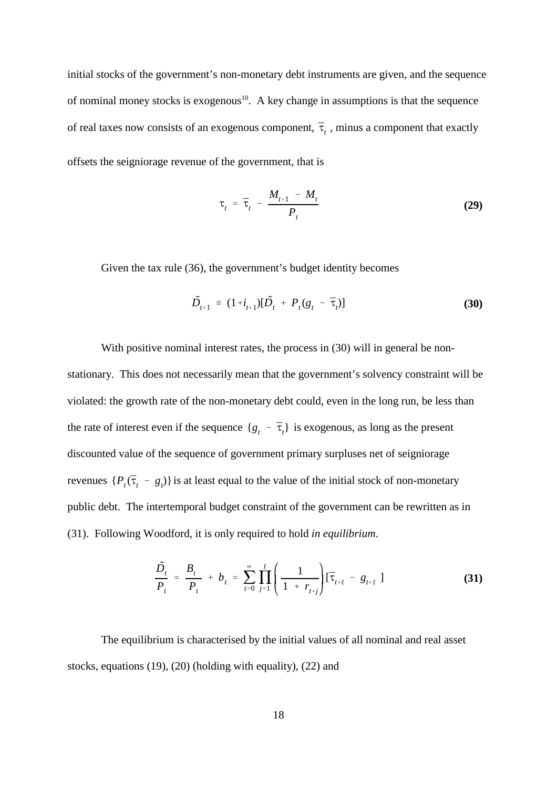of real taxes now consists of an exogenous component,  $\bar{\tau}_t$  , minus a component that exactly initial stocks of the government's non-monetary debt instruments are given, and the sequence of nominal money stocks is exogenous<sup>10</sup>. A key change in assumptions is that the sequence offsets the seigniorage revenue of the government, that is

$$
\tau_t = \overline{\tau}_t - \frac{M_{t+1} - M_t}{P_t}
$$
 (29)

Given the tax rule (36), the government's budget identity becomes

$$
\tilde{D}_{t+1} = (1 + i_{t+1})[\tilde{D}_t + P_t(g_t - \bar{\tau}_t)]
$$
\n(30)

the rate of interest even if the sequence  $\{g_t - \bar{\tau}_t\}$  is exogenous, as long as the present revenues  $\{P_t(\bar{\tau}_t - g_t)\}\$ is at least equal to the value of the initial stock of non-monetary With positive nominal interest rates, the process in (30) will in general be nonstationary. This does not necessarily mean that the government's solvency constraint will be violated: the growth rate of the non-monetary debt could, even in the long run, be less than discounted value of the sequence of government primary surpluses net of seigniorage public debt. The intertemporal budget constraint of the government can be rewritten as in (31). Following Woodford, it is only required to hold *in equilibrium*.

$$
\frac{\tilde{D}_t}{P_t} = \frac{B_t}{P_t} + b_t = \sum_{\ell=0}^{\infty} \prod_{j=1}^{\ell} \left( \frac{1}{1 + r_{t+j}} \right) [\bar{\tau}_{t+\ell} - g_{t+\ell}] \tag{31}
$$

The equilibrium is characterised by the initial values of all nominal and real asset stocks, equations (19), (20) (holding with equality), (22) and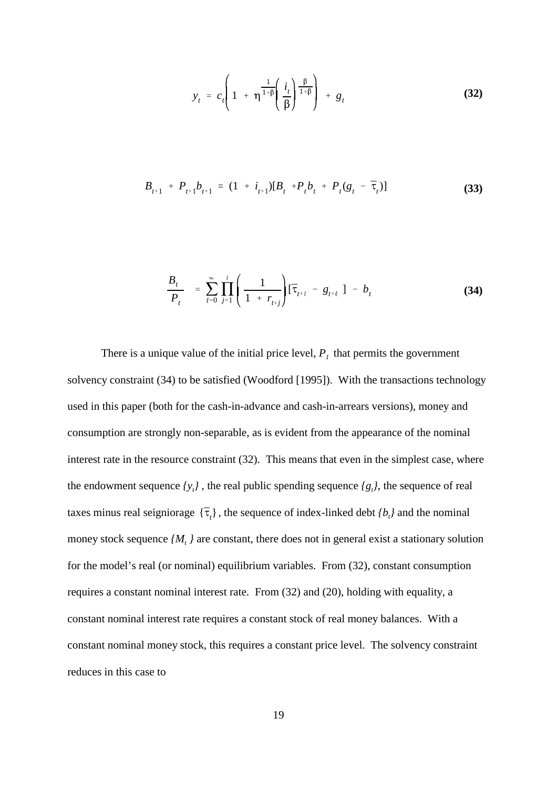$$
y_t = c_t \left( 1 + \eta^{\frac{1}{1+\beta}} \left( \frac{i_t}{\beta} \right)^{\frac{\beta}{1+\beta}} \right) + g_t
$$
 (32)

$$
B_{t+1} + P_{t+1} b_{t+1} = (1 + i_{t+1}) [B_t + P_t b_t + P_t (g_t - \bar{\tau}_t)]
$$
\n(33)

$$
\frac{B_t}{P_t} = \sum_{\ell=0}^{\infty} \prod_{j=1}^{\ell} \left( \frac{1}{1 + r_{t+j}} \right) [\bar{\tau}_{t+\ell} - g_{t+\ell}] - b_t \tag{34}
$$

taxes minus real seigniorage  $\{\bar{\tau}_t\}$ , the sequence of index-linked debt  $\{b_t\}$  and the nominal There is a unique value of the initial price level,  $P<sub>l</sub>$  that permits the government solvency constraint (34) to be satisfied (Woodford [1995]). With the transactions technology used in this paper (both for the cash-in-advance and cash-in-arrears versions), money and consumption are strongly non-separable, as is evident from the appearance of the nominal interest rate in the resource constraint (32). This means that even in the simplest case, where the endowment sequence  $\{y_i\}$ , the real public spending sequence  $\{g_i\}$ , the sequence of real money stock sequence  $\{M_t\}$  are constant, there does not in general exist a stationary solution for the model's real (or nominal) equilibrium variables. From (32), constant consumption requires a constant nominal interest rate. From (32) and (20), holding with equality, a constant nominal interest rate requires a constant stock of real money balances. With a constant nominal money stock, this requires a constant price level. The solvency constraint reduces in this case to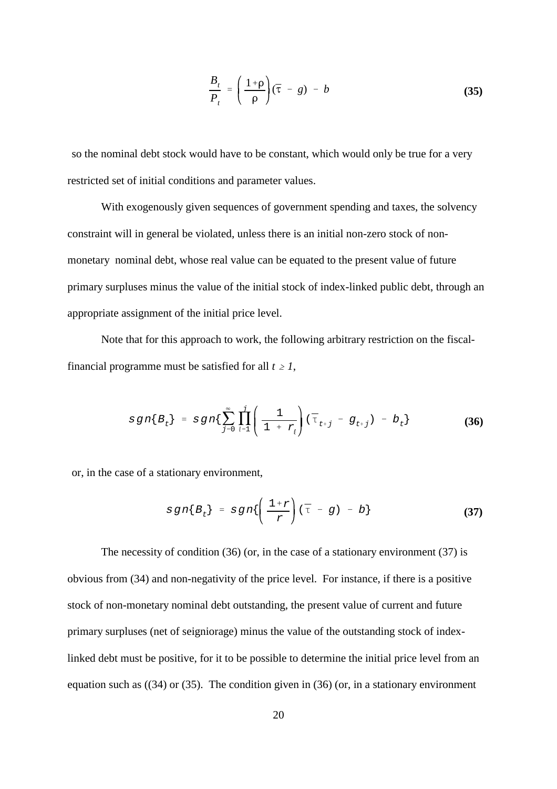$$
\frac{B_t}{P_t} = \left(\frac{1+\rho}{\rho}\right)(\bar{\tau} - g) - b \tag{35}
$$

so the nominal debt stock would have to be constant, which would only be true for a very restricted set of initial conditions and parameter values.

With exogenously given sequences of government spending and taxes, the solvency constraint will in general be violated, unless there is an initial non-zero stock of nonmonetary nominal debt, whose real value can be equated to the present value of future primary surpluses minus the value of the initial stock of index-linked public debt, through an appropriate assignment of the initial price level.

Note that for this approach to work, the following arbitrary restriction on the fiscalfinancial programme must be satisfied for all  $t \geq 1$ ,

$$
sgn\{B_t\} = sgn\{\sum_{j=0}^{\infty} \prod_{\ell=1}^{j} \left( \frac{1}{1 + r_{\ell}} \right) (\bar{\tau}_{t+j} - g_{t+j}) - b_t \}
$$
(36)

or, in the case of a stationary environment,

$$
sgn\{B_t\} = sgn\{\left(\frac{1+r}{r}\right)(\bar{\tau} - g) - b\}
$$
 (37)

The necessity of condition (36) (or, in the case of a stationary environment (37) is obvious from (34) and non-negativity of the price level. For instance, if there is a positive stock of non-monetary nominal debt outstanding, the present value of current and future primary surpluses (net of seigniorage) minus the value of the outstanding stock of indexlinked debt must be positive, for it to be possible to determine the initial price level from an equation such as ((34) or (35). The condition given in (36) (or, in a stationary environment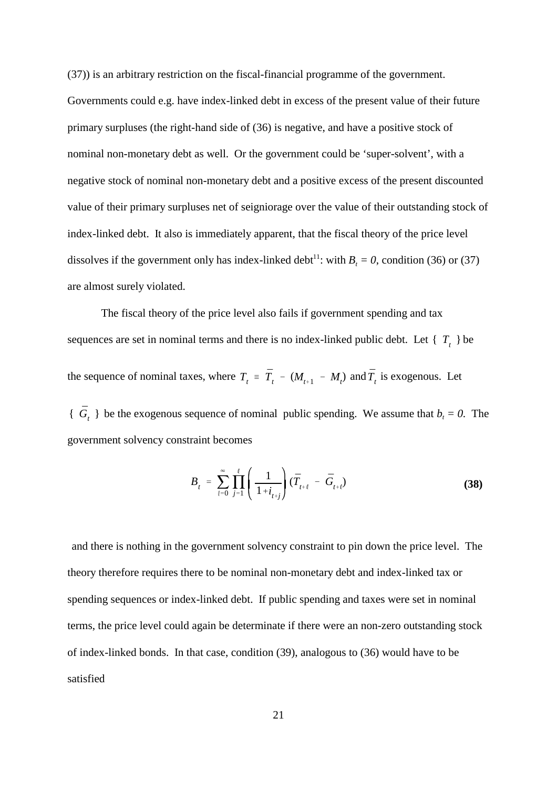(37)) is an arbitrary restriction on the fiscal-financial programme of the government. Governments could e.g. have index-linked debt in excess of the present value of their future primary surpluses (the right-hand side of (36) is negative, and have a positive stock of nominal non-monetary debt as well. Or the government could be 'super-solvent', with a negative stock of nominal non-monetary debt and a positive excess of the present discounted value of their primary surpluses net of seigniorage over the value of their outstanding stock of index-linked debt. It also is immediately apparent, that the fiscal theory of the price level dissolves if the government only has index-linked debt<sup>11</sup>: with  $B_t = 0$ , condition (36) or (37) are almost surely violated.

sequences are set in nominal terms and there is no index-linked public debt. Let  $\{T_t\}$  be the sequence of nominal taxes, where  $T_t = \bar{T}_t - (M_{t+1} - M_t)$  and  $\bar{T}_t$  is exogenous. Let  $\{\bar{G}_t\}$  be the exogenous sequence of nominal public spending. We assume that  $b_t = 0$ . The The fiscal theory of the price level also fails if government spending and tax

government solvency constraint becomes

$$
B_{t} = \sum_{\ell=0}^{\infty} \prod_{j=1}^{\ell} \left( \frac{1}{1+i_{t+j}} \right) (\bar{T}_{t+\ell} - \bar{G}_{t+\ell})
$$
 (38)

and there is nothing in the government solvency constraint to pin down the price level. The theory therefore requires there to be nominal non-monetary debt and index-linked tax or spending sequences or index-linked debt. If public spending and taxes were set in nominal terms, the price level could again be determinate if there were an non-zero outstanding stock of index-linked bonds. In that case, condition (39), analogous to (36) would have to be satisfied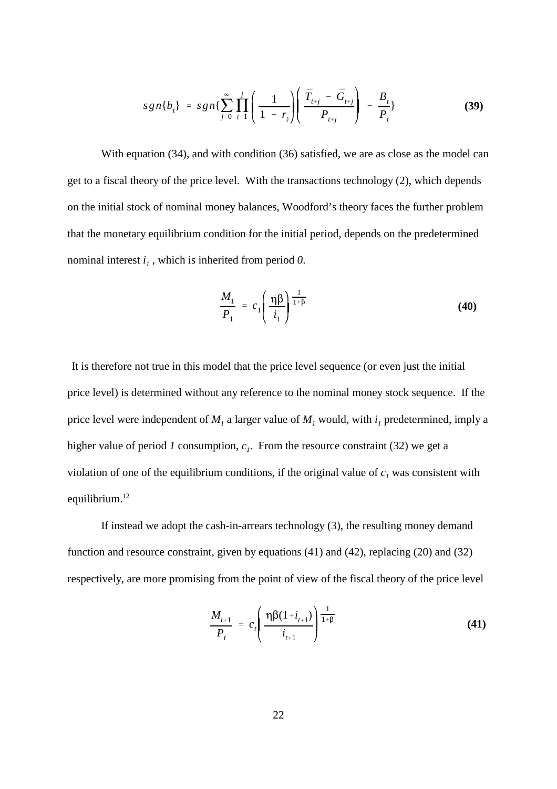$$
sgn\{b_{t}\} = sgn\{\sum_{j=0}^{\infty} \prod_{\ell=1}^{j} \left( \frac{1}{1+r_{\ell}} \right) \left( \frac{\bar{T}_{t+j} - \bar{G}_{t+j}}{P_{t+j}} \right) - \frac{B_{t}}{P_{t}} \}
$$
(39)

With equation (34), and with condition (36) satisfied, we are as close as the model can get to a fiscal theory of the price level. With the transactions technology (2), which depends on the initial stock of nominal money balances, Woodford's theory faces the further problem that the monetary equilibrium condition for the initial period, depends on the predetermined nominal interest  $i_l$ , which is inherited from period 0.

$$
\frac{M_1}{P_1} = c_1 \left( \frac{\eta \beta}{i_1} \right)^{\frac{1}{1+\beta}}
$$
\n(40)

It is therefore not true in this model that the price level sequence (or even just the initial price level) is determined without any reference to the nominal money stock sequence. If the price level were independent of  $M<sub>1</sub>$  a larger value of  $M<sub>1</sub>$  would, with  $i<sub>1</sub>$  predetermined, imply a higher value of period *1* consumption,  $c_1$ . From the resource constraint (32) we get a violation of one of the equilibrium conditions, if the original value of  $c<sub>1</sub>$  was consistent with equilibrium.<sup>12</sup>

If instead we adopt the cash-in-arrears technology (3), the resulting money demand function and resource constraint, given by equations (41) and (42), replacing (20) and (32) respectively, are more promising from the point of view of the fiscal theory of the price level

$$
\frac{M_{t+1}}{P_t} = c_t \left( \frac{\eta \beta (1 + i_{t+1})}{i_{t+1}} \right)^{\frac{1}{1+\beta}}
$$
(41)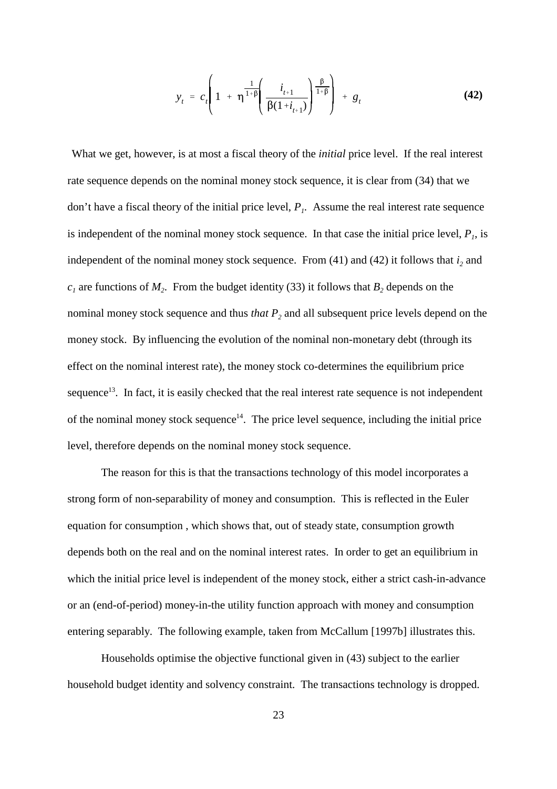$$
y_{t} = c_{t} \left( 1 + \eta^{\frac{1}{1+\beta}} \left( \frac{i_{t+1}}{\beta(1+i_{t+1})} \right)^{\frac{\beta}{1+\beta}} \right) + g_{t}
$$
(42)

What we get, however, is at most a fiscal theory of the *initial* price level. If the real interest rate sequence depends on the nominal money stock sequence, it is clear from (34) that we don't have a fiscal theory of the initial price level,  $P_i$ . Assume the real interest rate sequence is independent of the nominal money stock sequence. In that case the initial price level,  $P<sub>1</sub>$ , is independent of the nominal money stock sequence. From  $(41)$  and  $(42)$  it follows that  $i_2$  and  $c_1$  are functions of  $M_2$ . From the budget identity (33) it follows that  $B_2$  depends on the nominal money stock sequence and thus *that*  $P_2$  and all subsequent price levels depend on the money stock. By influencing the evolution of the nominal non-monetary debt (through its effect on the nominal interest rate), the money stock co-determines the equilibrium price sequence<sup>13</sup>. In fact, it is easily checked that the real interest rate sequence is not independent of the nominal money stock sequence $14$ . The price level sequence, including the initial price level, therefore depends on the nominal money stock sequence.

The reason for this is that the transactions technology of this model incorporates a strong form of non-separability of money and consumption. This is reflected in the Euler equation for consumption , which shows that, out of steady state, consumption growth depends both on the real and on the nominal interest rates. In order to get an equilibrium in which the initial price level is independent of the money stock, either a strict cash-in-advance or an (end-of-period) money-in-the utility function approach with money and consumption entering separably. The following example, taken from McCallum [1997b] illustrates this.

Households optimise the objective functional given in (43) subject to the earlier household budget identity and solvency constraint. The transactions technology is dropped.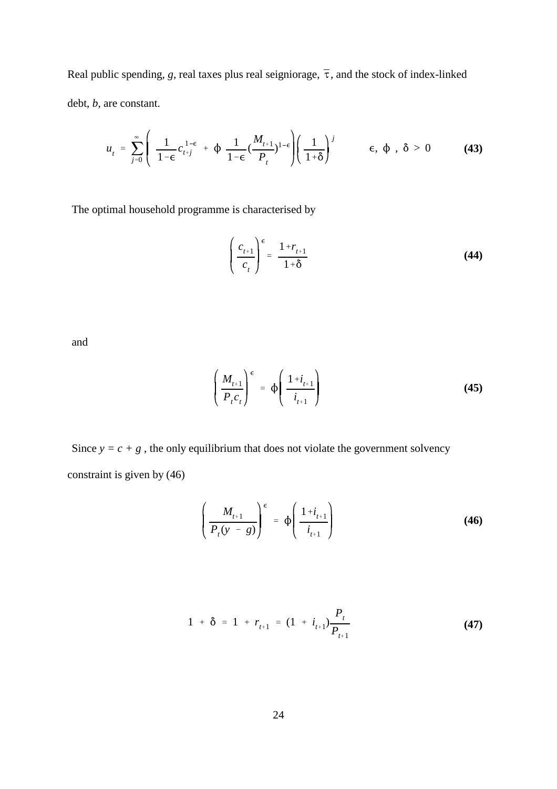Real public spending, g, real taxes plus real seigniorage,  $\bar{\tau}$ , and the stock of index-linked debt, *b*, are constant.

$$
u_{t} = \sum_{j=0}^{\infty} \left( \frac{1}{1-\epsilon} c_{t+j}^{1-\epsilon} + \phi \frac{1}{1-\epsilon} (\frac{M_{t+1}}{P_{t}})^{1-\epsilon} \right) \left( \frac{1}{1+\delta} \right)^{j} \qquad \epsilon, \phi, \delta > 0 \qquad (43)
$$

The optimal household programme is characterised by

$$
\left(\frac{c_{t+1}}{c_t}\right)^{\epsilon} = \frac{1 + r_{t+1}}{1 + \delta} \tag{44}
$$

and

$$
\left(\frac{M_{t+1}}{P_t c_t}\right)^{\epsilon} = \Phi\left(\frac{1+i_{t+1}}{i_{t+1}}\right)
$$
\n(45)

Since  $y = c + g$ , the only equilibrium that does not violate the government solvency constraint is given by (46)

$$
\left(\frac{M_{t+1}}{P_t(y-g)}\right)^{\epsilon} = \phi\left(\frac{1+i_{t+1}}{i_{t+1}}\right)
$$
\n(46)

$$
1 + \delta = 1 + r_{t+1} = (1 + i_{t+1}) \frac{P_t}{P_{t+1}}
$$
 (47)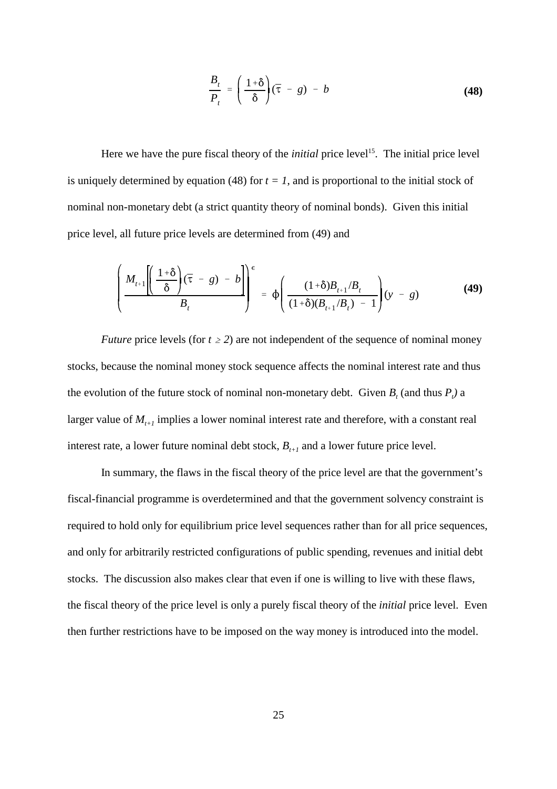$$
\frac{B_t}{P_t} = \left(\frac{1+\delta}{\delta}\right)(\bar{\tau} - g) - b \tag{48}
$$

Here we have the pure fiscal theory of the *initial* price level<sup>15</sup>. The initial price level is uniquely determined by equation (48) for  $t = 1$ , and is proportional to the initial stock of nominal non-monetary debt (a strict quantity theory of nominal bonds). Given this initial price level, all future price levels are determined from (49) and

$$
\left(\frac{M_{t+1}\left(\frac{1+\delta}{\delta}\right)(\bar{\tau}-g)-b}{B_t}\right)^{\epsilon} = \phi\left(\frac{(1+\delta)B_{t+1}/B_t}{(1+\delta)(B_{t+1}/B_t)-1}\right)(y-g)
$$
(49)

*Future* price levels (for  $t \geq 2$ ) are not independent of the sequence of nominal money stocks, because the nominal money stock sequence affects the nominal interest rate and thus the evolution of the future stock of nominal non-monetary debt. Given  $B_t$  (and thus  $P_t$ ) a larger value of  $M_{i+1}$  implies a lower nominal interest rate and therefore, with a constant real interest rate, a lower future nominal debt stock,  $B_{t+1}$  and a lower future price level.

In summary, the flaws in the fiscal theory of the price level are that the government's fiscal-financial programme is overdetermined and that the government solvency constraint is required to hold only for equilibrium price level sequences rather than for all price sequences, and only for arbitrarily restricted configurations of public spending, revenues and initial debt stocks. The discussion also makes clear that even if one is willing to live with these flaws, the fiscal theory of the price level is only a purely fiscal theory of the *initial* price level. Even then further restrictions have to be imposed on the way money is introduced into the model.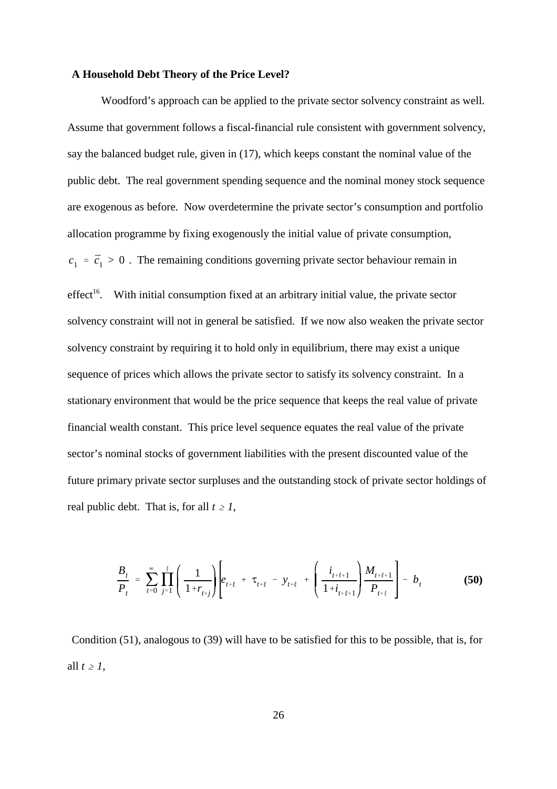#### **A Household Debt Theory of the Price Level?**

 $c_1 = \bar{c}_1 > 0$ . The remaining conditions governing private sector behaviour remain in Woodford's approach can be applied to the private sector solvency constraint as well. Assume that government follows a fiscal-financial rule consistent with government solvency, say the balanced budget rule, given in (17), which keeps constant the nominal value of the public debt. The real government spending sequence and the nominal money stock sequence are exogenous as before. Now overdetermine the private sector's consumption and portfolio allocation programme by fixing exogenously the initial value of private consumption, effect<sup>16</sup>. With initial consumption fixed at an arbitrary initial value, the private sector solvency constraint will not in general be satisfied. If we now also weaken the private sector solvency constraint by requiring it to hold only in equilibrium, there may exist a unique sequence of prices which allows the private sector to satisfy its solvency constraint. In a stationary environment that would be the price sequence that keeps the real value of private financial wealth constant. This price level sequence equates the real value of the private sector's nominal stocks of government liabilities with the present discounted value of the

future primary private sector surpluses and the outstanding stock of private sector holdings of real public debt. That is, for all  $t \geq 1$ ,

$$
\frac{B_t}{P_t} = \sum_{\ell=0}^{\infty} \prod_{j=1}^{\ell} \left( \frac{1}{1+r_{t+j}} \right) \left[ e_{t+\ell} + \tau_{t+\ell} - y_{t+\ell} + \left( \frac{i_{t+\ell+1}}{1+i_{t+\ell+1}} \right) \frac{M_{t+\ell+1}}{P_{t+\ell}} \right] - b_t
$$
\n(50)

Condition (51), analogous to (39) will have to be satisfied for this to be possible, that is, for all  $t \geq 1$ ,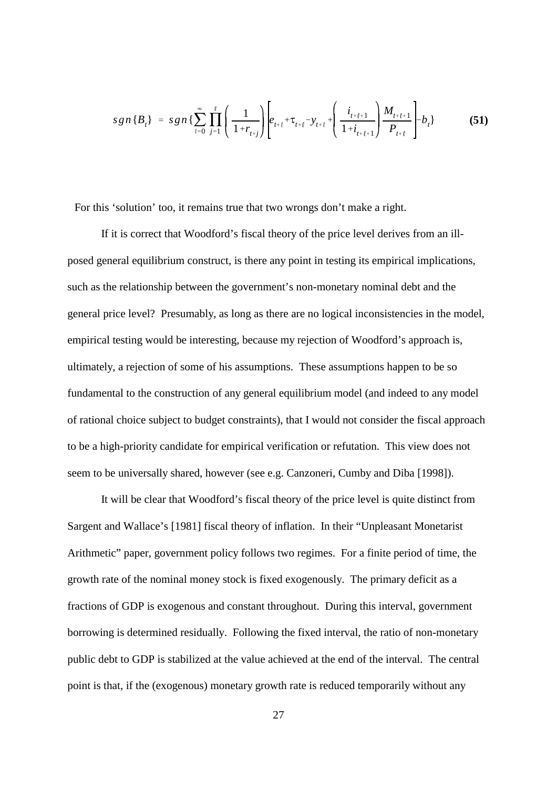$$
sgn\{B_t\} = sgn\{\sum_{\ell=0}^{\infty}\prod_{j=1}^{\ell} \left(\frac{1}{1+r_{t+j}}\right) \left[e_{t+\ell} + \tau_{t+\ell} - y_{t+\ell} + \left(\frac{i_{t+\ell+1}}{1+i_{t+\ell+1}}\right) \frac{M_{t+\ell+1}}{P_{t+\ell}}\right] - b_t\}
$$
(51)

For this 'solution' too, it remains true that two wrongs don't make a right.

If it is correct that Woodford's fiscal theory of the price level derives from an illposed general equilibrium construct, is there any point in testing its empirical implications, such as the relationship between the government's non-monetary nominal debt and the general price level? Presumably, as long as there are no logical inconsistencies in the model, empirical testing would be interesting, because my rejection of Woodford's approach is, ultimately, a rejection of some of his assumptions. These assumptions happen to be so fundamental to the construction of any general equilibrium model (and indeed to any model of rational choice subject to budget constraints), that I would not consider the fiscal approach to be a high-priority candidate for empirical verification or refutation. This view does not seem to be universally shared, however (see e.g. Canzoneri, Cumby and Diba [1998]).

It will be clear that Woodford's fiscal theory of the price level is quite distinct from Sargent and Wallace's [1981] fiscal theory of inflation.In their "Unpleasant Monetarist Arithmetic" paper, government policy follows two regimes. For a finite period of time, the growth rate of the nominal money stock is fixed exogenously. The primary deficit as a fractions of GDP is exogenous and constant throughout. During this interval, government borrowing is determined residually. Following the fixed interval, the ratio of non-monetary public debt to GDP is stabilized at the value achieved at the end of the interval. The central point is that, if the (exogenous) monetary growth rate is reduced temporarily without any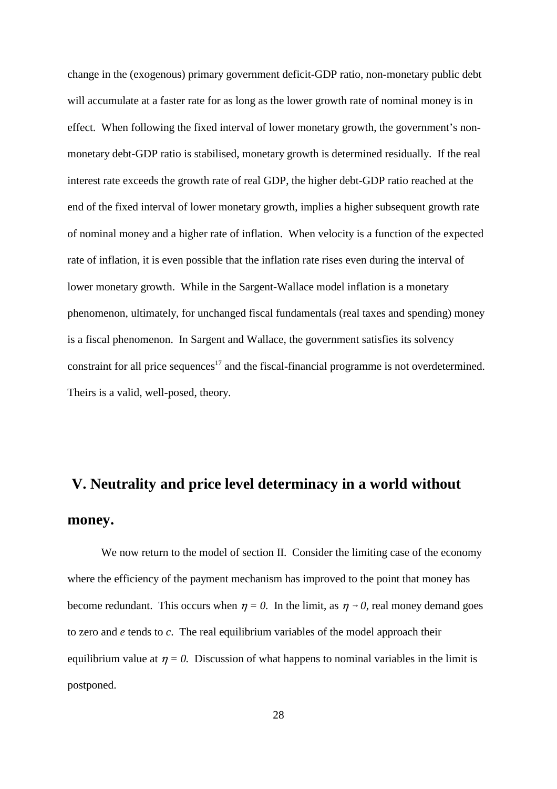change in the (exogenous) primary government deficit-GDP ratio, non-monetary public debt will accumulate at a faster rate for as long as the lower growth rate of nominal money is in effect. When following the fixed interval of lower monetary growth, the government's nonmonetary debt-GDP ratio is stabilised, monetary growth is determined residually. If the real interest rate exceeds the growth rate of real GDP, the higher debt-GDP ratio reached at the end of the fixed interval of lower monetary growth, implies a higher subsequent growth rate of nominal money and a higher rate of inflation. When velocity is a function of the expected rate of inflation, it is even possible that the inflation rate rises even during the interval of lower monetary growth. While in the Sargent-Wallace model inflation is a monetary phenomenon, ultimately, for unchanged fiscal fundamentals (real taxes and spending) money is a fiscal phenomenon. In Sargent and Wallace, the government satisfies its solvency constraint for all price sequences<sup>17</sup> and the fiscal-financial programme is not overdetermined. Theirs is a valid, well-posed, theory.

# **V. Neutrality and price level determinacy in a world without money.**

We now return to the model of section II. Consider the limiting case of the economy where the efficiency of the payment mechanism has improved to the point that money has become redundant. This occurs when  $\eta = 0$ . In the limit, as  $\eta \rightarrow 0$ , real money demand goes to zero and *e* tends to *c*. The real equilibrium variables of the model approach their equilibrium value at  $\eta = 0$ . Discussion of what happens to nominal variables in the limit is postponed.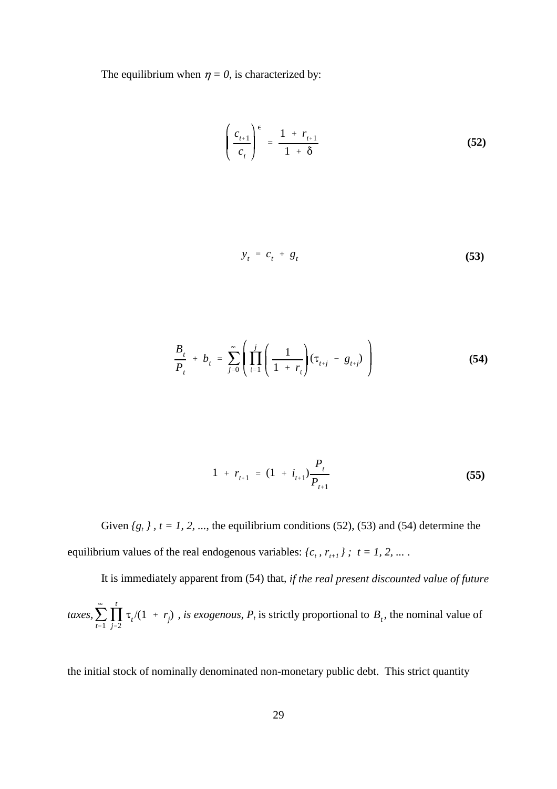The equilibrium when  $\eta = 0$ , is characterized by:

$$
\left(\frac{c_{t+1}}{c_t}\right)^{\epsilon} = \frac{1 + r_{t+1}}{1 + \delta} \tag{52}
$$

$$
y_t = c_t + g_t \tag{53}
$$

$$
\frac{B_t}{P_t} + b_t = \sum_{j=0}^{\infty} \left( \prod_{\ell=1}^j \left( \frac{1}{1 + r_{\ell}} \right) (\tau_{t+j} - g_{t+j}) \right)
$$
(54)

$$
1 + r_{t+1} = (1 + i_{t+1}) \frac{P_t}{P_{t+1}}
$$
 (55)

Given  ${g_t}$ ,  $t = 1, 2, ...,$  the equilibrium conditions (52), (53) and (54) determine the equilibrium values of the real endogenous variables:  ${c_t, r_{t+1}}$  ;  $t = 1, 2, ...$ .

 $\sum$  $\infty$  $\sum_{t=1}$ N *t taxes*,  $\sum_{t=1}$   $\prod_{j=2}$   $\tau_i/(1 + r_j)$ , *is exogenous,*  $P_t$  is strictly proportional to  $B_t$ , the nominal value of It is immediately apparent from (54) that, *if the real present discounted value of future*

the initial stock of nominally denominated non-monetary public debt. This strict quantity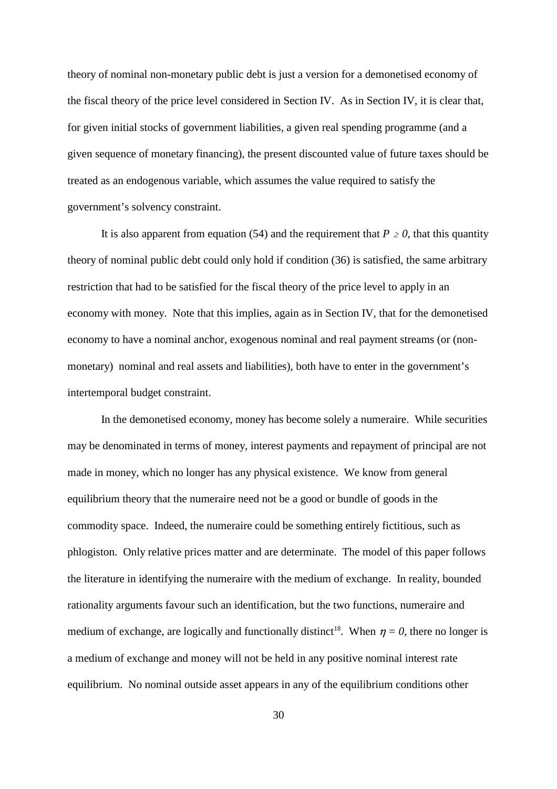theory of nominal non-monetary public debt is just a version for a demonetised economy of the fiscal theory of the price level considered in Section IV. As in Section IV, it is clear that, for given initial stocks of government liabilities, a given real spending programme (and a given sequence of monetary financing), the present discounted value of future taxes should be treated as an endogenous variable, which assumes the value required to satisfy the government's solvency constraint.

It is also apparent from equation (54) and the requirement that  $P \ge 0$ , that this quantity theory of nominal public debt could only hold if condition (36) is satisfied, the same arbitrary restriction that had to be satisfied for the fiscal theory of the price level to apply in an economy with money. Note that this implies, again as in Section IV, that for the demonetised economy to have a nominal anchor, exogenous nominal and real payment streams (or (nonmonetary) nominal and real assets and liabilities), both have to enter in the government's intertemporal budget constraint.

In the demonetised economy, money has become solely a numeraire. While securities may be denominated in terms of money, interest payments and repayment of principal are not made in money, which no longer has any physical existence. We know from general equilibrium theory that the numeraire need not be a good or bundle of goods in the commodity space. Indeed, the numeraire could be something entirely fictitious, such as phlogiston. Only relative prices matter and are determinate. The model of this paper follows the literature in identifying the numeraire with the medium of exchange. In reality, bounded rationality arguments favour such an identification, but the two functions, numeraire and medium of exchange, are logically and functionally distinct<sup>18</sup>. When  $\eta = 0$ , there no longer is a medium of exchange and money will not be held in any positive nominal interest rate equilibrium. No nominal outside asset appears in any of the equilibrium conditions other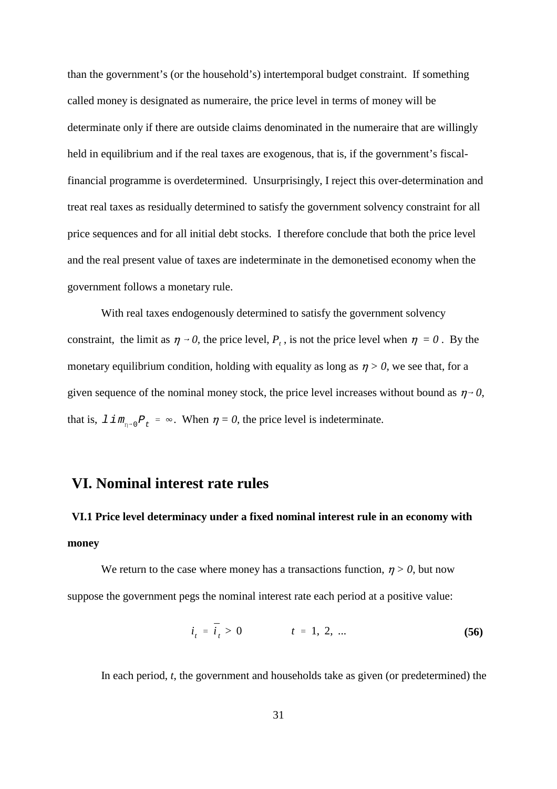than the government's (or the household's) intertemporal budget constraint. If something called money is designated as numeraire, the price level in terms of money will be determinate only if there are outside claims denominated in the numeraire that are willingly held in equilibrium and if the real taxes are exogenous, that is, if the government's fiscalfinancial programme is overdetermined. Unsurprisingly, I reject this over-determination and treat real taxes as residually determined to satisfy the government solvency constraint for all price sequences and for all initial debt stocks. I therefore conclude that both the price level and the real present value of taxes are indeterminate in the demonetised economy when the government follows a monetary rule.

that is,  $\lim_{n \to 0} P_t = \infty$ . When  $\eta = 0$ , the price level is indeterminate. With real taxes endogenously determined to satisfy the government solvency constraint, the limit as  $\eta \to 0$ , the price level,  $P_t$ , is not the price level when  $\eta = 0$ . By the monetary equilibrium condition, holding with equality as long as  $\eta > 0$ , we see that, for a given sequence of the nominal money stock, the price level increases without bound as  $\eta \rightarrow 0$ ,

### **VI. Nominal interest rate rules**

# **VI.1 Price level determinacy under a fixed nominal interest rule in an economy with money**

We return to the case where money has a transactions function,  $n > 0$ , but now suppose the government pegs the nominal interest rate each period at a positive value:

$$
i_t = \bar{i}_t > 0 \qquad t = 1, 2, ... \tag{56}
$$

In each period, *t*, the government and households take as given (or predetermined) the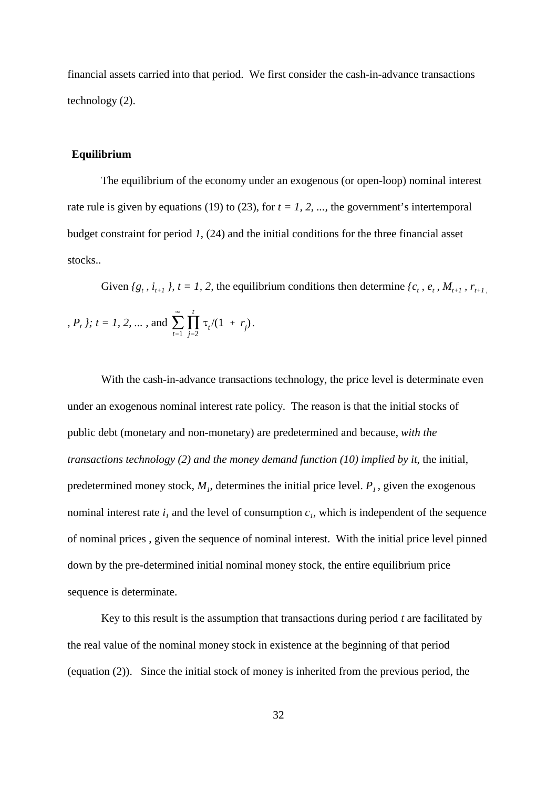financial assets carried into that period. We first consider the cash-in-advance transactions technology (2).

#### **Equilibrium**

The equilibrium of the economy under an exogenous (or open-loop) nominal interest rate rule is given by equations (19) to (23), for  $t = 1, 2, \dots$ , the government's intertemporal budget constraint for period *1*, (24) and the initial conditions for the three financial asset stocks..

 $\sum$  $\infty$  $\sum_{t=1}$ N *t , P<sub>t</sub> }; t* = 1, 2, ... , and  $\sum_{t=1}^{n} \prod_{j=2}^{n} \tau_{t} / (1 + r_{j}).$ Given  ${g_t, i_{t+1}}$ ,  $t = 1, 2$ , the equilibrium conditions then determine  ${c_t, e_t, M_{t+1}, r_{t+1}}$ 

With the cash-in-advance transactions technology, the price level is determinate even under an exogenous nominal interest rate policy. The reason is that the initial stocks of public debt (monetary and non-monetary) are predetermined and because, *with the transactions technology (2) and the money demand function (10) implied by it, the initial,* predetermined money stock,  $M<sub>1</sub>$ , determines the initial price level.  $P<sub>1</sub>$ , given the exogenous nominal interest rate  $i_l$  and the level of consumption  $c_l$ , which is independent of the sequence of nominal prices , given the sequence of nominal interest. With the initial price level pinned down by the pre-determined initial nominal money stock, the entire equilibrium price sequence is determinate.

Key to this result is the assumption that transactions during period *t* are facilitated by the real value of the nominal money stock in existence at the beginning of that period (equation (2)). Since the initial stock of money is inherited from the previous period, the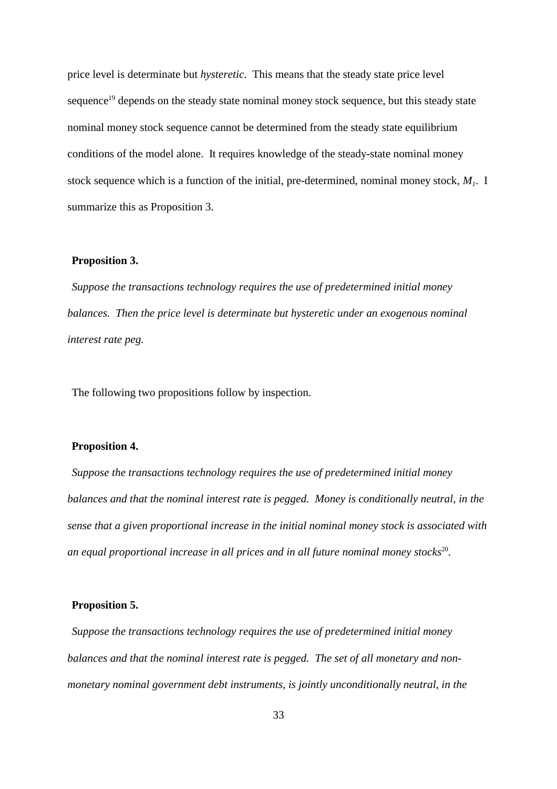price level is determinate but *hysteretic*. This means that the steady state price level sequence<sup>19</sup> depends on the steady state nominal money stock sequence, but this steady state nominal money stock sequence cannot be determined from the steady state equilibrium conditions of the model alone. It requires knowledge of the steady-state nominal money stock sequence which is a function of the initial, pre-determined, nominal money stock,  $M<sub>1</sub>$ . I summarize this as Proposition 3.

#### **Proposition 3.**

*Suppose the transactions technology requires the use of predetermined initial money balances. Then the price level is determinate but hysteretic under an exogenous nominal interest rate peg.*

The following two propositions follow by inspection.

#### **Proposition 4.**

*Suppose the transactions technology requires the use of predetermined initial money balances and that the nominal interest rate is pegged. Money is conditionally neutral, in the sense that a given proportional increase in the initial nominal money stock is associated with an equal proportional increase in all prices and in all future nominal monev stocks*<sup>20</sup>.

#### **Proposition 5.**

*Suppose the transactions technology requires the use of predetermined initial money balances and that the nominal interest rate is pegged. The set of all monetary and nonmonetary nominal government debt instruments, is jointly unconditionally neutral, in the*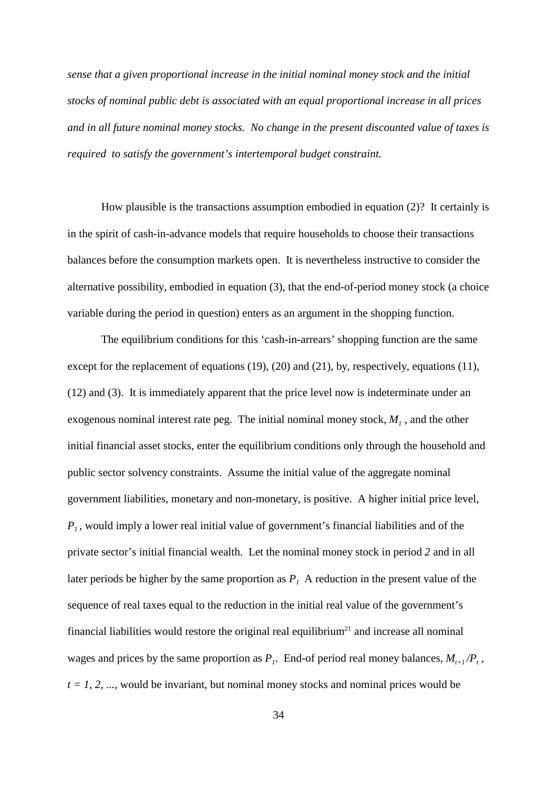*sense that a given proportional increase in the initial nominal money stock and the initial stocks of nominal public debt is associated with an equal proportional increase in all prices and in all future nominal money stocks. No change in the present discounted value of taxes is required to satisfy the government's intertemporal budget constraint.*

How plausible is the transactions assumption embodied in equation (2)? It certainly is in the spirit of cash-in-advance models that require households to choose their transactions balances before the consumption markets open. It is nevertheless instructive to consider the alternative possibility, embodied in equation (3), that the end-of-period money stock (a choice variable during the period in question) enters as an argument in the shopping function.

The equilibrium conditions for this 'cash-in-arrears' shopping function are the same except for the replacement of equations (19), (20) and (21), by, respectively, equations (11), (12) and (3). It is immediately apparent that the price level now is indeterminate under an exogenous nominal interest rate peg. The initial nominal money stock,  $M<sub>1</sub>$ , and the other initial financial asset stocks, enter the equilibrium conditions only through the household and public sector solvency constraints. Assume the initial value of the aggregate nominal government liabilities, monetary and non-monetary, is positive. A higher initial price level, *P1* , would imply a lower real initial value of government's financial liabilities and of the private sector's initial financial wealth. Let the nominal money stock in period *2* and in all later periods be higher by the same proportion as  $P<sub>1</sub>$ . A reduction in the present value of the sequence of real taxes equal to the reduction in the initial real value of the government's financial liabilities would restore the original real equilibrium<sup>21</sup> and increase all nominal wages and prices by the same proportion as  $P_i$ . End-of period real money balances,  $M_{i+1}/P_i$ ,  $t = 1, 2, \ldots$ , would be invariant, but nominal money stocks and nominal prices would be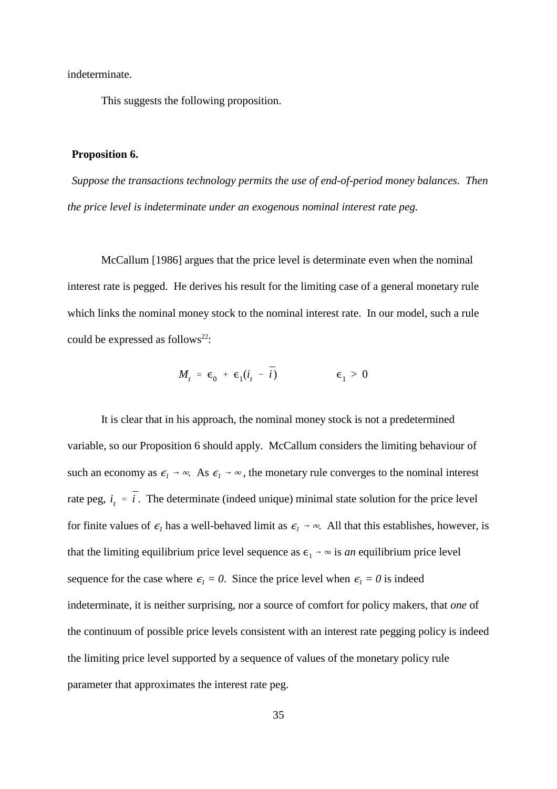indeterminate.

This suggests the following proposition.

#### **Proposition 6.**

*Suppose the transactions technology permits the use of end-of-period money balances. Then the price level is indeterminate under an exogenous nominal interest rate peg.*

McCallum [1986] argues that the price level is determinate even when the nominal interest rate is pegged. He derives his result for the limiting case of a general monetary rule which links the nominal money stock to the nominal interest rate. In our model, such a rule could be expressed as follows<sup>22</sup>:

$$
M_t = \epsilon_0 + \epsilon_1(i_t - \bar{i}) \qquad \epsilon_1 > 0
$$

rate peg,  $i_i = \overline{i}$ . The determinate (indeed unique) minimal state solution for the price level It is clear that in his approach, the nominal money stock is not a predetermined variable, so our Proposition 6 should apply. McCallum considers the limiting behaviour of such an economy as  $\epsilon_1 \rightarrow \infty$ . As  $\epsilon_1 \rightarrow \infty$ , the monetary rule converges to the nominal interest for finite values of  $\epsilon_1$  has a well-behaved limit as  $\epsilon_1 \rightarrow \infty$ . All that this establishes, however, is that the limiting equilibrium price level sequence as  $\epsilon_1 \rightarrow \infty$  is *an* equilibrium price level sequence for the case where  $\epsilon_1 = 0$ . Since the price level when  $\epsilon_1 = 0$  is indeed indeterminate, it is neither surprising, nor a source of comfort for policy makers, that *one* of the continuum of possible price levels consistent with an interest rate pegging policy is indeed the limiting price level supported by a sequence of values of the monetary policy rule parameter that approximates the interest rate peg.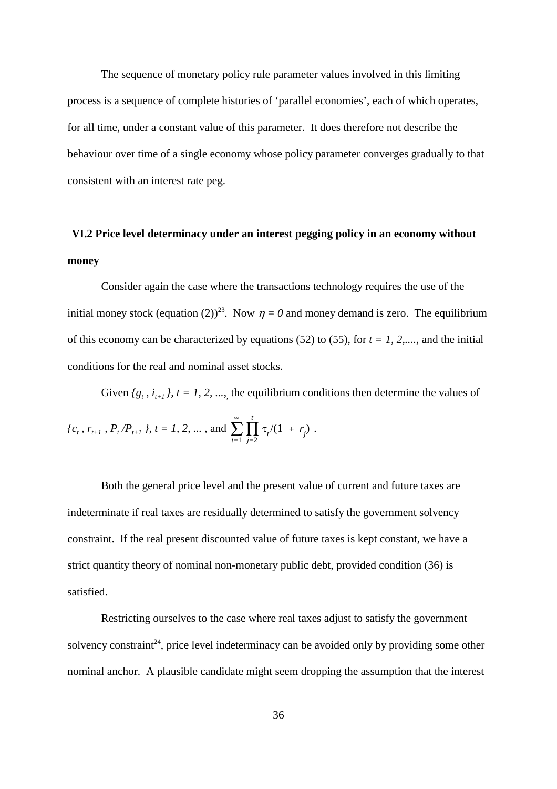The sequence of monetary policy rule parameter values involved in this limiting process is a sequence of complete histories of 'parallel economies', each of which operates, for all time, under a constant value of this parameter. It does therefore not describe the behaviour over time of a single economy whose policy parameter converges gradually to that consistent with an interest rate peg.

## **VI.2 Price level determinacy under an interest pegging policy in an economy without money**

Consider again the case where the transactions technology requires the use of the initial money stock (equation (2))<sup>23</sup>. Now  $\eta = 0$  and money demand is zero. The equilibrium of this economy can be characterized by equations (52) to (55), for  $t = 1, 2, \dots$ , and the initial conditions for the real and nominal asset stocks.

 $\sum$  $\infty$  $\sum_{t=1}$ N *t*  $\{c_t, r_{t+1}, P_t/P_{t+1}\}\$ ,  $t = 1, 2, ...,$  and  $\sum_{t=1} \prod_{j=2} \tau_t/(1 + r_j)$ . Given  ${g_t, i_{t+1}}$ ,  $t = 1, 2, ...,$  the equilibrium conditions then determine the values of

Both the general price level and the present value of current and future taxes are indeterminate if real taxes are residually determined to satisfy the government solvency constraint. If the real present discounted value of future taxes is kept constant, we have a strict quantity theory of nominal non-monetary public debt, provided condition (36) is satisfied.

Restricting ourselves to the case where real taxes adjust to satisfy the government solvency constraint<sup>24</sup>, price level indeterminacy can be avoided only by providing some other nominal anchor. A plausible candidate might seem dropping the assumption that the interest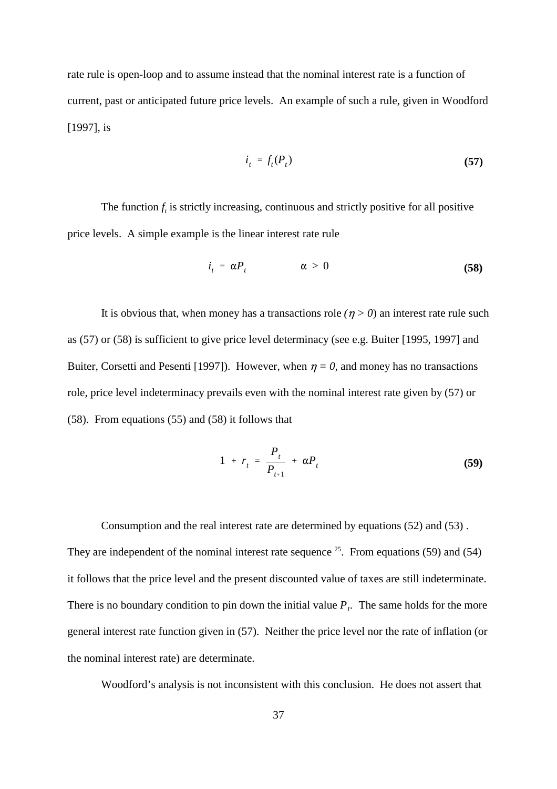rate rule is open-loop and to assume instead that the nominal interest rate is a function of current, past or anticipated future price levels. An example of such a rule, given in Woodford [1997], is

$$
i_t = f_t(P_t) \tag{57}
$$

The function  $f_t$  is strictly increasing, continuous and strictly positive for all positive price levels. A simple example is the linear interest rate rule

$$
i_t = \alpha P_t \qquad \alpha > 0 \qquad (58)
$$

It is obvious that, when money has a transactions role  $(p > 0)$  an interest rate rule such as (57) or (58) is sufficient to give price level determinacy (see e.g. Buiter [1995, 1997] and Buiter, Corsetti and Pesenti [1997]). However, when  $\eta = 0$ , and money has no transactions role, price level indeterminacy prevails even with the nominal interest rate given by (57) or (58). From equations (55) and (58) it follows that

$$
1 + r_{t} = \frac{P_{t}}{P_{t+1}} + \alpha P_{t}
$$
 (59)

Consumption and the real interest rate are determined by equations (52) and (53) . They are independent of the nominal interest rate sequence  $25$ . From equations (59) and (54) it follows that the price level and the present discounted value of taxes are still indeterminate. There is no boundary condition to pin down the initial value  $P<sub>1</sub>$ . The same holds for the more general interest rate function given in (57). Neither the price level nor the rate of inflation (or the nominal interest rate) are determinate.

Woodford's analysis is not inconsistent with this conclusion. He does not assert that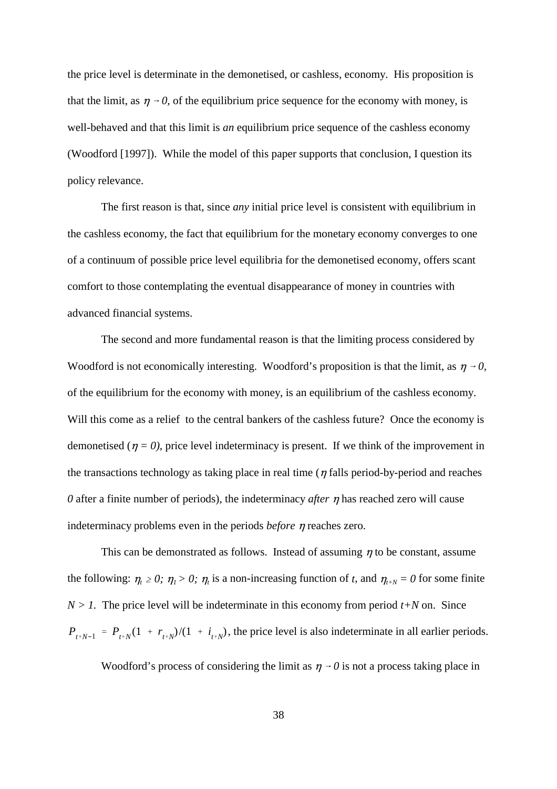the price level is determinate in the demonetised, or cashless, economy. His proposition is that the limit, as  $\eta \rightarrow 0$ , of the equilibrium price sequence for the economy with money, is well-behaved and that this limit is *an* equilibrium price sequence of the cashless economy (Woodford [1997]). While the model of this paper supports that conclusion, I question its policy relevance.

The first reason is that, since *any* initial price level is consistent with equilibrium in the cashless economy, the fact that equilibrium for the monetary economy converges to one of a continuum of possible price level equilibria for the demonetised economy, offers scant comfort to those contemplating the eventual disappearance of money in countries with advanced financial systems.

The second and more fundamental reason is that the limiting process considered by Woodford is not economically interesting. Woodford's proposition is that the limit, as  $\eta \rightarrow 0$ , of the equilibrium for the economy with money, is an equilibrium of the cashless economy. Will this come as a relief to the central bankers of the cashless future? Once the economy is demonetised ( $\eta = 0$ ), price level indeterminacy is present. If we think of the improvement in the transactions technology as taking place in real time ( $\eta$  falls period-by-period and reaches  $\theta$  after a finite number of periods), the indeterminacy *after*  $\eta$  has reached zero will cause indeterminacy problems even in the periods *before*  $\eta$  reaches zero.

 $P_{t+N-1} = P_{t+N}(1 + r_{t+N})/(1 + i_{t+N})$ , the price level is also indeterminate in all earlier periods. This can be demonstrated as follows. Instead of assuming  $\eta$  to be constant, assume the following:  $\eta_t \geq 0$ ;  $\eta_l > 0$ ;  $\eta_t$  is a non-increasing function of *t*, and  $\eta_{t+N} = 0$  for some finite  $N > 1$ . The price level will be indeterminate in this economy from period  $t + N$  on. Since

Woodford's process of considering the limit as  $\eta \rightarrow 0$  is not a process taking place in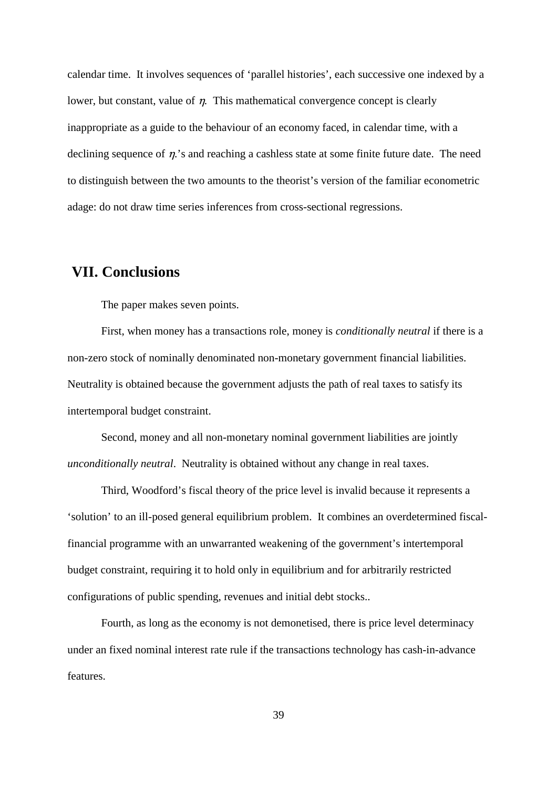calendar time. It involves sequences of 'parallel histories', each successive one indexed by a lower, but constant, value of  $\eta$ . This mathematical convergence concept is clearly inappropriate as a guide to the behaviour of an economy faced, in calendar time, with a declining sequence of  $\eta$ .'s and reaching a cashless state at some finite future date. The need to distinguish between the two amounts to the theorist's version of the familiar econometric adage: do not draw time series inferences from cross-sectional regressions.

## **VII. Conclusions**

The paper makes seven points.

First, when money has a transactions role, money is *conditionally neutral* if there is a non-zero stock of nominally denominated non-monetary government financial liabilities. Neutrality is obtained because the government adjusts the path of real taxes to satisfy its intertemporal budget constraint.

Second, money and all non-monetary nominal government liabilities are jointly *unconditionally neutral*. Neutrality is obtained without any change in real taxes.

Third, Woodford's fiscal theory of the price level is invalid because it represents a 'solution' to an ill-posed general equilibrium problem. It combines an overdetermined fiscalfinancial programme with an unwarranted weakening of the government's intertemporal budget constraint, requiring it to hold only in equilibrium and for arbitrarily restricted configurations of public spending, revenues and initial debt stocks..

Fourth, as long as the economy is not demonetised, there is price level determinacy under an fixed nominal interest rate rule if the transactions technology has cash-in-advance features.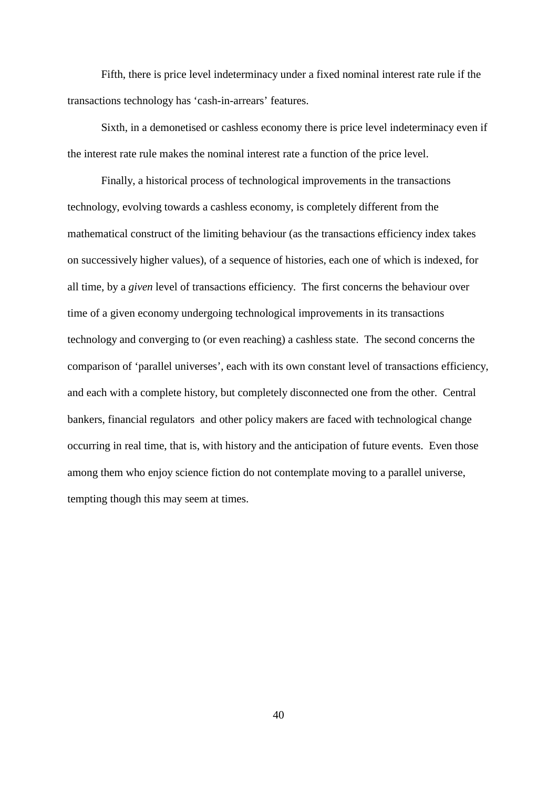Fifth, there is price level indeterminacy under a fixed nominal interest rate rule if the transactions technology has 'cash-in-arrears' features.

Sixth, in a demonetised or cashless economy there is price level indeterminacy even if the interest rate rule makes the nominal interest rate a function of the price level.

Finally, a historical process of technological improvements in the transactions technology, evolving towards a cashless economy, is completely different from the mathematical construct of the limiting behaviour (as the transactions efficiency index takes on successively higher values), of a sequence of histories, each one of which is indexed, for all time, by a *given* level of transactions efficiency. The first concerns the behaviour over time of a given economy undergoing technological improvements in its transactions technology and converging to (or even reaching) a cashless state. The second concerns the comparison of 'parallel universes', each with its own constant level of transactions efficiency, and each with a complete history, but completely disconnected one from the other. Central bankers, financial regulators and other policy makers are faced with technological change occurring in real time, that is, with history and the anticipation of future events. Even those among them who enjoy science fiction do not contemplate moving to a parallel universe, tempting though this may seem at times.

40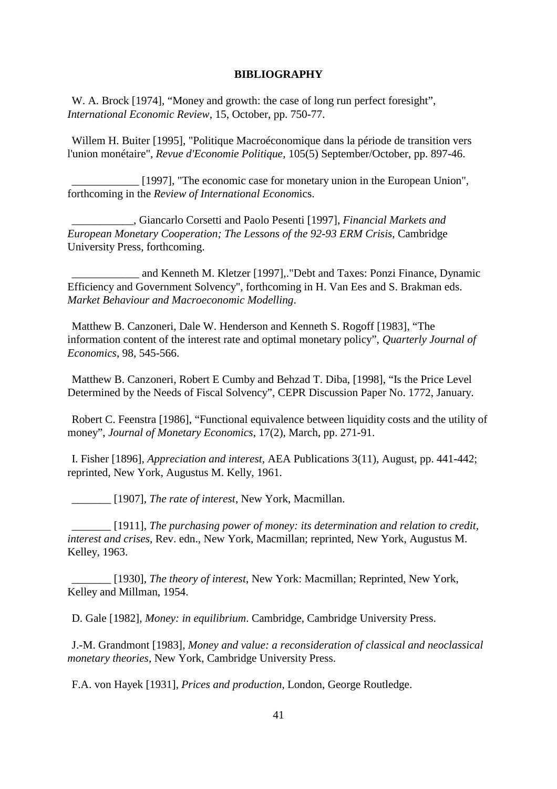#### **BIBLIOGRAPHY**

W. A. Brock [1974], "Money and growth: the case of long run perfect foresight", *International Economic Review*, 15, October, pp. 750-77.

Willem H. Buiter [1995], "Politique Macroéconomique dans la période de transition vers l'union monétaire", *Revue d'Economie Politique*, 105(5) September/October, pp. 897-46.

[1997], "The economic case for monetary union in the European Union", forthcoming in the *Review of International Econom*ics.

\_\_\_\_\_\_\_\_\_\_\_, Giancarlo Corsetti and Paolo Pesenti [1997], *Financial Markets and European Monetary Cooperation; The Lessons of the 92-93 ERM Crisis*, Cambridge University Press, forthcoming.

\_\_\_\_\_\_\_\_\_\_\_\_ and Kenneth M. Kletzer [1997],."Debt and Taxes: Ponzi Finance, Dynamic Efficiency and Government Solvency", forthcoming in H. Van Ees and S. Brakman eds. *Market Behaviour and Macroeconomic Modelling*.

Matthew B. Canzoneri, Dale W. Henderson and Kenneth S. Rogoff [1983], "The information content of the interest rate and optimal monetary policy", *Quarterly Journal of Economics*, 98, 545-566.

Matthew B. Canzoneri, Robert E Cumby and Behzad T. Diba, [1998], "Is the Price Level Determined by the Needs of Fiscal Solvency", CEPR Discussion Paper No. 1772, January.

Robert C. Feenstra [1986], "Functional equivalence between liquidity costs and the utility of money", *Journal of Monetary Economics*, 17(2), March, pp. 271-91.

I. Fisher [1896], *Appreciation and interest*, AEA Publications 3(11), August, pp. 441-442; reprinted, New York, Augustus M. Kelly, 1961.

\_\_\_\_\_\_\_ [1907], *The rate of interest*, New York, Macmillan.

\_\_\_\_\_\_\_ [1911], *The purchasing power of money: its determination and relation to credit, interest and crises*, Rev. edn., New York, Macmillan; reprinted, New York, Augustus M. Kelley, 1963.

\_\_\_\_\_\_\_ [1930], *The theory of interest*, New York: Macmillan; Reprinted, New York, Kelley and Millman, 1954.

D. Gale [1982], *Money: in equilibrium*. Cambridge, Cambridge University Press.

J.-M. Grandmont [1983], *Money and value: a reconsideration of classical and neoclassical monetary theories*, New York, Cambridge University Press.

F.A. von Hayek [1931], *Prices and production*, London, George Routledge.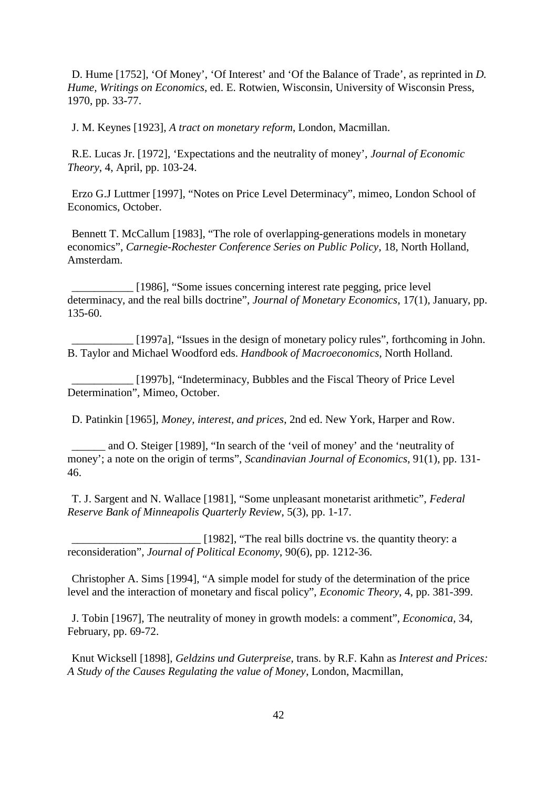D. Hume [1752], 'Of Money', 'Of Interest' and 'Of the Balance of Trade', as reprinted in *D. Hume, Writings on Economics*, ed. E. Rotwien, Wisconsin, University of Wisconsin Press, 1970, pp. 33-77.

J. M. Keynes [1923], *A tract on monetary reform*, London, Macmillan.

R.E. Lucas Jr. [1972], 'Expectations and the neutrality of money', *Journal of Economic Theory*, 4, April, pp. 103-24.

Erzo G.J Luttmer [1997], "Notes on Price Level Determinacy", mimeo, London School of Economics, October.

Bennett T. McCallum [1983], "The role of overlapping-generations models in monetary economics", *Carnegie-Rochester Conference Series on Public Policy*, 18, North Holland, Amsterdam.

[1986], "Some issues concerning interest rate pegging, price level determinacy, and the real bills doctrine", *Journal of Monetary Economics*, 17(1), January, pp. 135-60.

[1997a], "Issues in the design of monetary policy rules", forthcoming in John. B. Taylor and Michael Woodford eds. *Handbook of Macroeconomics*, North Holland.

[1997b], "Indeterminacy, Bubbles and the Fiscal Theory of Price Level Determination", Mimeo, October.

D. Patinkin [1965], *Money, interest, and prices*, 2nd ed. New York, Harper and Row.

and O. Steiger [1989], "In search of the 'veil of money' and the 'neutrality of money'; a note on the origin of terms", *Scandinavian Journal of Economics*, 91(1), pp. 131- 46.

T. J. Sargent and N. Wallace [1981], "Some unpleasant monetarist arithmetic", *Federal Reserve Bank of Minneapolis Quarterly Review*, 5(3), pp. 1-17.

[1982], "The real bills doctrine vs. the quantity theory: a reconsideration", *Journal of Political Economy*, 90(6), pp. 1212-36.

Christopher A. Sims [1994], "A simple model for study of the determination of the price level and the interaction of monetary and fiscal policy", *Economic Theory*, 4, pp. 381-399.

J. Tobin [1967], The neutrality of money in growth models: a comment", *Economica,* 34, February, pp. 69-72.

Knut Wicksell [1898], *Geldzins und Guterpreise*, trans. by R.F. Kahn as *Interest and Prices: A Study of the Causes Regulating the value of Money*, London, Macmillan,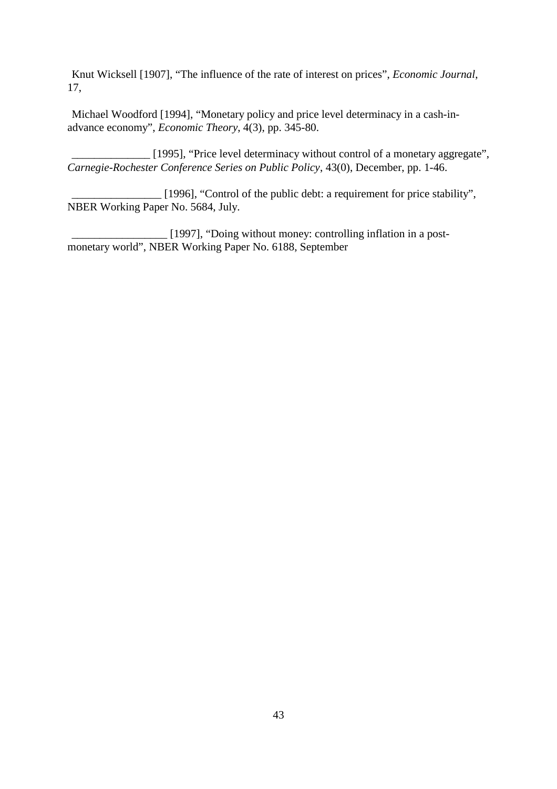Knut Wicksell [1907], "The influence of the rate of interest on prices", *Economic Journal*, 17,

Michael Woodford [1994], "Monetary policy and price level determinacy in a cash-inadvance economy", *Economic Theory*, 4(3), pp. 345-80.

[1995], "Price level determinacy without control of a monetary aggregate", *Carnegie-Rochester Conference Series on Public Policy*, 43(0), December, pp. 1-46.

\_\_\_\_\_\_\_\_\_\_\_\_\_\_\_\_ [1996], "Control of the public debt: a requirement for price stability", NBER Working Paper No. 5684, July.

\_\_\_\_\_\_\_\_\_\_\_\_\_\_\_\_\_ [1997], "Doing without money: controlling inflation in a postmonetary world", NBER Working Paper No. 6188, September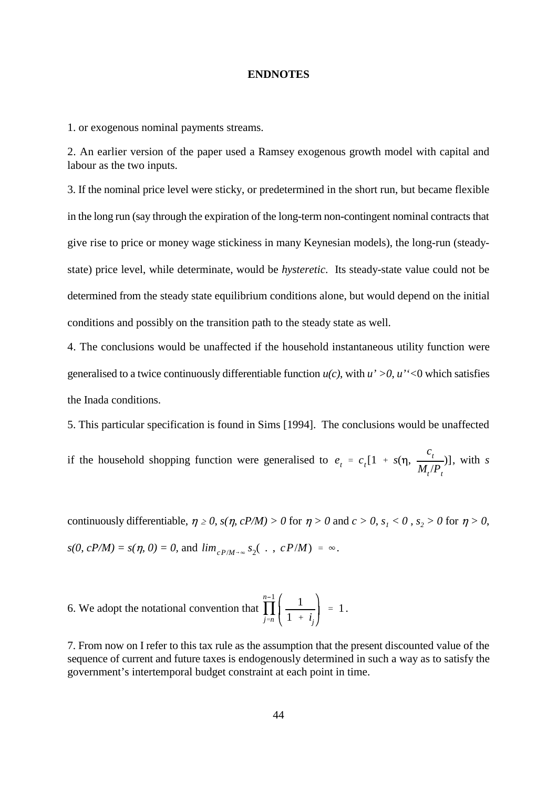#### **ENDNOTES**

1. or exogenous nominal payments streams.

2. An earlier version of the paper used a Ramsey exogenous growth model with capital and labour as the two inputs.

3. If the nominal price level were sticky, or predetermined in the short run, but became flexible in the long run (say through the expiration of the long-term non-contingent nominal contracts that give rise to price or money wage stickiness in many Keynesian models), the long-run (steadystate) price level, while determinate, would be *hysteretic*. Its steady-state value could not be determined from the steady state equilibrium conditions alone, but would depend on the initial conditions and possibly on the transition path to the steady state as well.

4. The conclusions would be unaffected if the household instantaneous utility function were generalised to a twice continuously differentiable function  $u(c)$ , with  $u' > 0$ ,  $u' < 0$  which satisfies the Inada conditions.

5. This particular specification is found in Sims [1994]. The conclusions would be unaffected

 $e_t = c_t [1 + s(\eta, \frac{c_t}{M})]$  $M_{t}/P_{t}$ if the household shopping function were generalised to  $e_t = c_t[1 + s(\eta, \frac{t}{s(t)})]$ , with *s* 

 $s(0, cP/M) = s(\eta, 0) = 0$ , and  $\lim_{cP/M \to \infty} s_2(\cdot, cP/M) = \infty$ . continuously differentiable,  $\eta \ge 0$ ,  $s(\eta, cP/M) > 0$  for  $\eta > 0$  and  $c > 0$ ,  $s_1 < 0$ ,  $s_2 > 0$  for  $\eta > 0$ ,

N  $n-1$ *j n* 1  $1 + i_j$ 6. We adopt the notational convention that  $\prod_{n=1}^{\infty} \left| \frac{1}{n+1} \right| = 1$ .

7. From now on I refer to this tax rule as the assumption that the present discounted value of the sequence of current and future taxes is endogenously determined in such a way as to satisfy the government's intertemporal budget constraint at each point in time.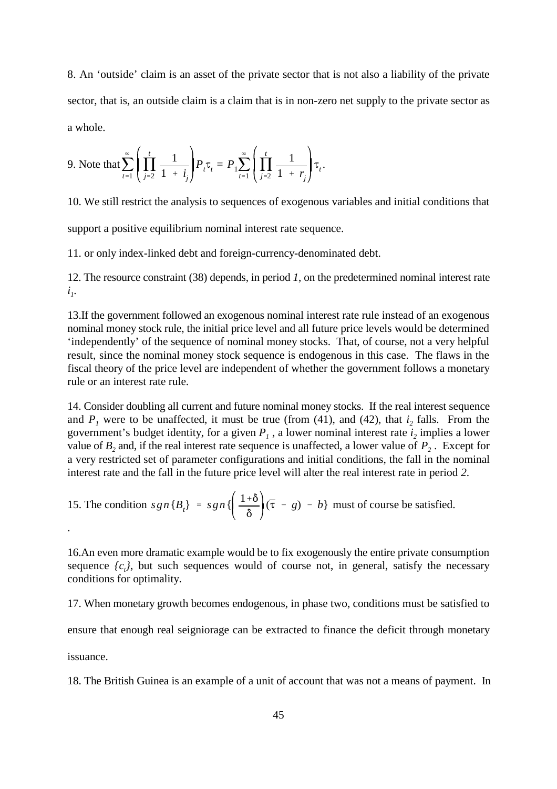8. An 'outside' claim is an asset of the private sector that is not also a liability of the private sector, that is, an outside claim is a claim that is in non-zero net supply to the private sector as a whole.

9. Note that 
$$
\sum_{t=1}^{\infty} \left( \prod_{j=2}^{t} \frac{1}{1+i_j} \right) P_t \tau_t = P_1 \sum_{t=1}^{\infty} \left( \prod_{j=2}^{t} \frac{1}{1+r_j} \right) \tau_t.
$$

10. We still restrict the analysis to sequences of exogenous variables and initial conditions that

support a positive equilibrium nominal interest rate sequence.

11. or only index-linked debt and foreign-currency-denominated debt.

12. The resource constraint (38) depends, in period *1*, on the predetermined nominal interest rate  $i_{\iota}$ .

13.If the government followed an exogenous nominal interest rate rule instead of an exogenous nominal money stock rule, the initial price level and all future price levels would be determined 'independently' of the sequence of nominal money stocks. That, of course, not a very helpful result, since the nominal money stock sequence is endogenous in this case. The flaws in the fiscal theory of the price level are independent of whether the government follows a monetary rule or an interest rate rule.

14. Consider doubling all current and future nominal money stocks. If the real interest sequence and  $P_1$  were to be unaffected, it must be true (from (41), and (42), that  $i_2$  falls. From the government's budget identity, for a given  $P<sub>l</sub>$ , a lower nominal interest rate  $i<sub>2</sub>$  implies a lower value of  $B_2$  and, if the real interest rate sequence is unaffected, a lower value of  $P_2$ . Except for a very restricted set of parameter configurations and initial conditions, the fall in the nominal interest rate and the fall in the future price level will alter the real interest rate in period *2*.

15. The condition 
$$
sgn\{B_t\} = sgn\{\left(\frac{1+\delta}{\delta}\right)(\bar{\tau} - g) - b\}
$$
 must of course be satisfied.

16.An even more dramatic example would be to fix exogenously the entire private consumption sequence  $\{c_i\}$ , but such sequences would of course not, in general, satisfy the necessary conditions for optimality.

17. When monetary growth becomes endogenous, in phase two, conditions must be satisfied to

ensure that enough real seigniorage can be extracted to finance the deficit through monetary

issuance.

18. The British Guinea is an example of a unit of account that was not a means of payment. In